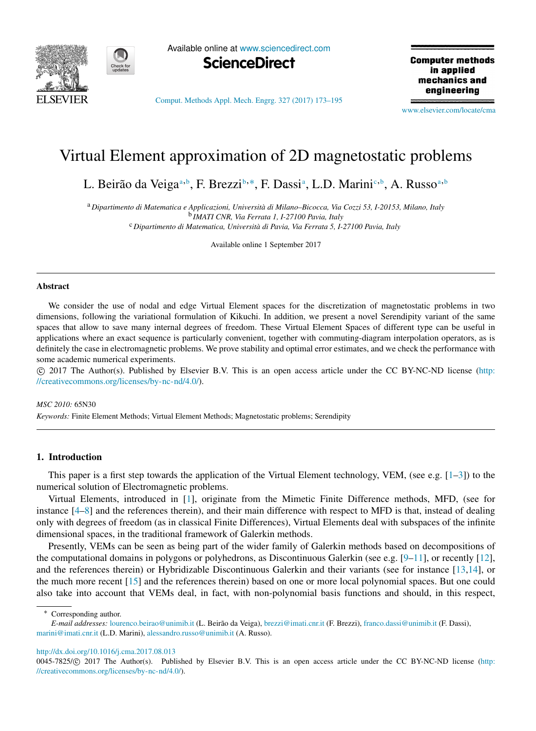

Available online at [www.sciencedirect.com](http://www.elsevier.com/locate/cma)



[Comput. Methods Appl. Mech. Engrg. 327 \(2017\) 173–195](http://dx.doi.org/10.1016/j.cma.2017.08.013)

**Computer methods** in applied mechanics and engineering

[www.elsevier.com/locate/cma](http://www.elsevier.com/locate/cma)

# Virtual Element approximation of 2D magnetostatic problems

L. Beirão d[a](#page-0-0) Veiga<sup>a, [b](#page-0-1)</sup>, F. Brezzi<sup>b, \*</sup>, F. Dassi<sup>a</sup>, L.D. Marini<sup>[c](#page-0-3), b</sup>, A. Russo<sup>a, b</sup>

<span id="page-0-3"></span><span id="page-0-0"></span><sup>a</sup> *Dipartimento di Matematica e Applicazioni, Università di Milano–Bicocca, Via Cozzi 53, I-20153, Milano, Italy* b *IMATI CNR, Via Ferrata 1, I-27100 Pavia, Italy* <sup>c</sup> *Dipartimento di Matematica, Università di Pavia, Via Ferrata 5, I-27100 Pavia, Italy*

<span id="page-0-1"></span>Available online 1 September 2017

#### **Abstract**

We consider the use of nodal and edge Virtual Element spaces for the discretization of magnetostatic problems in two dimensions, following the variational formulation of Kikuchi. In addition, we present a novel Serendipity variant of the same spaces that allow to save many internal degrees of freedom. These Virtual Element Spaces of different type can be useful in applications where an exact sequence is particularly convenient, together with commuting-diagram interpolation operators, as is definitely the case in electromagnetic problems. We prove stability and optimal error estimates, and we check the performance with some academic numerical experiments.

⃝c 2017 The Author(s). Published by Elsevier B.V. This is an open access article under the CC BY-NC-ND license [\(http:](http://creativecommons.org/licenses/by-nc-nd/4.0/) [//creativecommons.org/licenses/by-nc-nd/4.0/\)](http://creativecommons.org/licenses/by-nc-nd/4.0/).

#### *MSC 2010:* 65N30

*Keywords:* Finite Element Methods; Virtual Element Methods; Magnetostatic problems; Serendipity

#### 1. Introduction

This paper is a first step towards the application of the Virtual Element technology, VEM, (see e.g. [\[1–](#page-20-0)[3\]](#page-20-1)) to the numerical solution of Electromagnetic problems.

Virtual Elements, introduced in [\[1\]](#page-20-0), originate from the Mimetic Finite Difference methods, MFD, (see for instance [\[4–](#page-20-2)[8\]](#page-20-3) and the references therein), and their main difference with respect to MFD is that, instead of dealing only with degrees of freedom (as in classical Finite Differences), Virtual Elements deal with subspaces of the infinite dimensional spaces, in the traditional framework of Galerkin methods.

Presently, VEMs can be seen as being part of the wider family of Galerkin methods based on decompositions of the computational domains in polygons or polyhedrons, as Discontinuous Galerkin (see e.g. [\[9](#page-20-4)[–11\]](#page-20-5), or recently [\[12\]](#page-20-6), and the references therein) or Hybridizable Discontinuous Galerkin and their variants (see for instance [\[13,](#page-20-7)[14\]](#page-20-8), or the much more recent [\[15\]](#page-20-9) and the references therein) based on one or more local polynomial spaces. But one could also take into account that VEMs deal, in fact, with non-polynomial basis functions and should, in this respect,

<span id="page-0-2"></span>Corresponding author.

<http://dx.doi.org/10.1016/j.cma.2017.08.013>

*E-mail addresses:* [lourenco.beirao@unimib.it](mailto:lourenco.beirao@unimib.it) (L. Beirão da Veiga), [brezzi@imati.cnr.it](mailto:brezzi@imati.cnr.it) (F. Brezzi), [franco.dassi@unimib.it](mailto:franco.dassi@unimib.it) (F. Dassi), [marini@imati.cnr.it](mailto:marini@imati.cnr.it) (L.D. Marini), [alessandro.russo@unimib.it](mailto:alessandro.russo@unimib.it) (A. Russo).

<sup>0045-7825/© 2017</sup> The Author(s). Published by Elsevier B.V. This is an open access article under the CC BY-NC-ND license [\(http:](http://creativecommons.org/licenses/by-nc-nd/4.0/) [//creativecommons.org/licenses/by-nc-nd/4.0/\)](http://creativecommons.org/licenses/by-nc-nd/4.0/).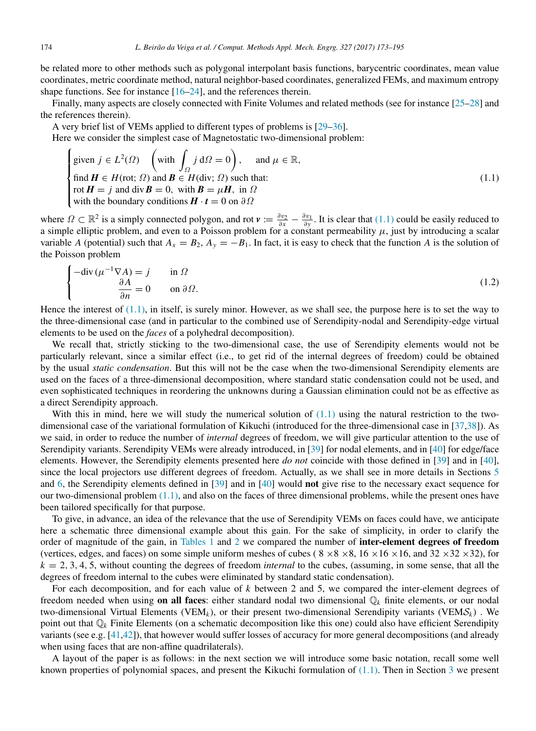be related more to other methods such as polygonal interpolant basis functions, barycentric coordinates, mean value coordinates, metric coordinate method, natural neighbor-based coordinates, generalized FEMs, and maximum entropy shape functions. See for instance [\[16–](#page-20-10)[24\]](#page-21-0), and the references therein.

Finally, many aspects are closely connected with Finite Volumes and related methods (see for instance [\[25](#page-21-1)[–28\]](#page-21-2) and the references therein).

A very brief list of VEMs applied to different types of problems is [\[29–](#page-21-3)[36\]](#page-21-4).

Here we consider the simplest case of Magnetostatic two-dimensional problem:

<span id="page-1-0"></span>
$$
\begin{cases}\n\text{given } j \in L^{2}(\Omega) \quad \left(\text{with } \int_{\Omega} j \, \text{d}\Omega = 0\right), \quad \text{and } \mu \in \mathbb{R}, \\
\text{find } H \in H(\text{rot}; \Omega) \text{ and } B \in H(\text{div}; \Omega) \text{ such that:} \\
\text{rot } H = j \text{ and } \text{div } B = 0, \text{ with } B = \mu H, \text{ in } \Omega \\
\text{with the boundary conditions } H \cdot t = 0 \text{ on } \partial \Omega\n\end{cases} \tag{1.1}
$$

where  $\Omega \subset \mathbb{R}^2$  is a simply connected polygon, and rot  $v := \frac{\partial v_2}{\partial x} - \frac{\partial v_1}{\partial y}$ . It is clear that [\(1.1\)](#page-1-0) could be easily reduced to a simple elliptic problem, and even to a Poisson problem for a constant permeability  $\mu$ , just by introducing a scalar variable *A* (potential) such that  $A_x = B_2$ ,  $A_y = -B_1$ . In fact, it is easy to check that the function *A* is the solution of the Poisson problem

$$
\begin{cases}\n-\text{div}\,(\mu^{-1}\nabla A) = j & \text{in }\Omega \\
\frac{\partial A}{\partial n} = 0 & \text{on }\partial\Omega.\n\end{cases}
$$
\n(1.2)

Hence the interest of  $(1.1)$ , in itself, is surely minor. However, as we shall see, the purpose here is to set the way to the three-dimensional case (and in particular to the combined use of Serendipity-nodal and Serendipity-edge virtual elements to be used on the *faces* of a polyhedral decomposition).

We recall that, strictly sticking to the two-dimensional case, the use of Serendipity elements would not be particularly relevant, since a similar effect (i.e., to get rid of the internal degrees of freedom) could be obtained by the usual *static condensation*. But this will not be the case when the two-dimensional Serendipity elements are used on the faces of a three-dimensional decomposition, where standard static condensation could not be used, and even sophisticated techniques in reordering the unknowns during a Gaussian elimination could not be as effective as a direct Serendipity approach.

With this in mind, here we will study the numerical solution of  $(1.1)$  using the natural restriction to the twodimensional case of the variational formulation of Kikuchi (introduced for the three-dimensional case in [\[37](#page-21-5)[,38\]](#page-21-6)). As we said, in order to reduce the number of *internal* degrees of freedom, we will give particular attention to the use of Serendipity variants. Serendipity VEMs were already introduced, in [\[39\]](#page-21-7) for nodal elements, and in [\[40\]](#page-21-8) for edge/face elements. However, the Serendipity elements presented here *do not* coincide with those defined in [\[39\]](#page-21-7) and in [\[40\]](#page-21-8), since the local projectors use different degrees of freedom. Actually, as we shall see in more details in Sections [5](#page-9-0) and [6,](#page-13-0) the Serendipity elements defined in [\[39\]](#page-21-7) and in [\[40\]](#page-21-8) would not give rise to the necessary exact sequence for our two-dimensional problem  $(1.1)$ , and also on the faces of three dimensional problems, while the present ones have been tailored specifically for that purpose.

To give, in advance, an idea of the relevance that the use of Serendipity VEMs on faces could have, we anticipate here a schematic three dimensional example about this gain. For the sake of simplicity, in order to clarify the order of magnitude of the gain, in [Tables 1](#page-2-0) and [2](#page-2-1) we compared the number of inter-element degrees of freedom (vertices, edges, and faces) on some simple uniform meshes of cubes ( $8 \times 8 \times 8$ ,  $16 \times 16 \times 16$ , and  $32 \times 32 \times 32$ ), for  $k = 2, 3, 4, 5$ , without counting the degrees of freedom *internal* to the cubes, (assuming, in some sense, that all the degrees of freedom internal to the cubes were eliminated by standard static condensation).

For each decomposition, and for each value of *k* between 2 and 5, we compared the inter-element degrees of freedom needed when using **on all faces**: either standard nodal two dimensional  $\mathbb{Q}_k$  finite elements, or our nodal two-dimensional Virtual Elements (VEM<sub>k</sub>), or their present two-dimensional Serendipity variants (VEM $S_k$ ). We point out that  $\mathbb{Q}_k$  Finite Elements (on a schematic decomposition like this one) could also have efficient Serendipity variants (see e.g.  $[41,42]$  $[41,42]$ ), that however would suffer losses of accuracy for more general decompositions (and already when using faces that are non-affine quadrilaterals).

A layout of the paper is as follows: in the next section we will introduce some basic notation, recall some well known properties of polynomial spaces, and present the Kikuchi formulation of [\(1.1\).](#page-1-0) Then in Section [3](#page-4-0) we present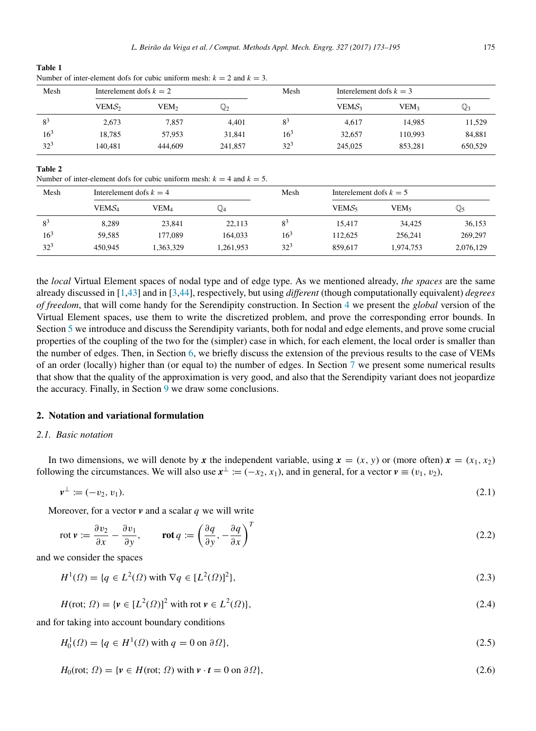<span id="page-2-0"></span>Table 1 Number of inter-element dofs for cubic uniform mesh:  $k = 2$  and  $k = 3$ .

| Mesh           | Interelement dofs $k = 2$ |         |                | Mesh           | Interelement dofs $k = 3$ |                  |                |
|----------------|---------------------------|---------|----------------|----------------|---------------------------|------------------|----------------|
|                | VEMS <sub>2</sub>         | VEM2    | $\mathbb{Q}_2$ |                | VEMS <sub>3</sub>         | VEM <sub>3</sub> | $\mathbb{Q}_3$ |
| 8 <sup>3</sup> | 2,673                     | 7.857   | 4.401          | 8 <sup>3</sup> | 4.617                     | 14.985           | 11,529         |
| $16^{3}$       | 18.785                    | 57,953  | 31,841         | $16^{3}$       | 32,657                    | 110,993          | 84,881         |
| $32^{3}$       | 140.481                   | 444,609 | 241,857        | $32^{3}$       | 245,025                   | 853.281          | 650,529        |

# <span id="page-2-1"></span>Table 2

Number of inter-element dofs for cubic uniform mesh:  $k = 4$  and  $k = 5$ .

| Mesh     | Interelement dofs $k = 4$ |           |                | Mesh     | Interelement dofs $k = 5$ |           |           |
|----------|---------------------------|-----------|----------------|----------|---------------------------|-----------|-----------|
|          | VEMS <sub>4</sub>         | VEM4      | $\mathbb{Q}_4$ |          | VEM $\mathcal{S}_5$       | VEM5      | Q5        |
| $8^3$    | 8.289                     | 23,841    | 22.113         | $8^3$    | 15,417                    | 34,425    | 36,153    |
| $16^{3}$ | 59.585                    | 177,089   | 164.033        | $16^{3}$ | 112.625                   | 256,241   | 269,297   |
| $32^{3}$ | 450,945                   | 1.363.329 | 1,261,953      | $32^{3}$ | 859,617                   | 1.974.753 | 2,076,129 |

the *local* Virtual Element spaces of nodal type and of edge type. As we mentioned already, *the spaces* are the same already discussed in [\[1,](#page-20-0)[43\]](#page-21-11) and in [\[3](#page-20-1)[,44\]](#page-21-12), respectively, but using *different* (though computationally equivalent) *degrees of freedom*, that will come handy for the Serendipity construction. In Section [4](#page-6-0) we present the *global* version of the Virtual Element spaces, use them to write the discretized problem, and prove the corresponding error bounds. In Section [5](#page-9-0) we introduce and discuss the Serendipity variants, both for nodal and edge elements, and prove some crucial properties of the coupling of the two for the (simpler) case in which, for each element, the local order is smaller than the number of edges. Then, in Section [6,](#page-13-0) we briefly discuss the extension of the previous results to the case of VEMs of an order (locally) higher than (or equal to) the number of edges. In Section [7](#page-15-0) we present some numerical results that show that the quality of the approximation is very good, and also that the Serendipity variant does not jeopardize the accuracy. Finally, in Section [9](#page-19-0) we draw some conclusions.

# 2. Notation and variational formulation

# *2.1. Basic notation*

In two dimensions, we will denote by x the independent variable, using  $x = (x, y)$  or (more often)  $x = (x_1, x_2)$ following the circumstances. We will also use  $x^{\perp} := (-x_2, x_1)$ , and in general, for a vector  $v \equiv (v_1, v_2)$ ,

$$
v^{\perp} := (-v_2, v_1). \tag{2.1}
$$

Moreover, for a vector *v* and a scalar *q* we will write

$$
\operatorname{rot} \nu := \frac{\partial v_2}{\partial x} - \frac{\partial v_1}{\partial y}, \qquad \operatorname{rot} q := \left(\frac{\partial q}{\partial y}, -\frac{\partial q}{\partial x}\right)^T \tag{2.2}
$$

and we consider the spaces

$$
H^{1}(\Omega) = \{q \in L^{2}(\Omega) \text{ with } \nabla q \in [L^{2}(\Omega)]^{2}\},\tag{2.3}
$$

$$
H(\text{rot}; \Omega) = \{ \mathbf{v} \in [L^2(\Omega)]^2 \text{ with rot } \mathbf{v} \in L^2(\Omega) \},\tag{2.4}
$$

and for taking into account boundary conditions

 $H_0^1(\Omega) = \{q \in H^1(\Omega) \text{ with } q = 0 \text{ on } \partial \Omega\},$  (2.5)

$$
H_0(\text{rot}; \Omega) = \{v \in H(\text{rot}; \Omega) \text{ with } v \cdot t = 0 \text{ on } \partial \Omega\},\tag{2.6}
$$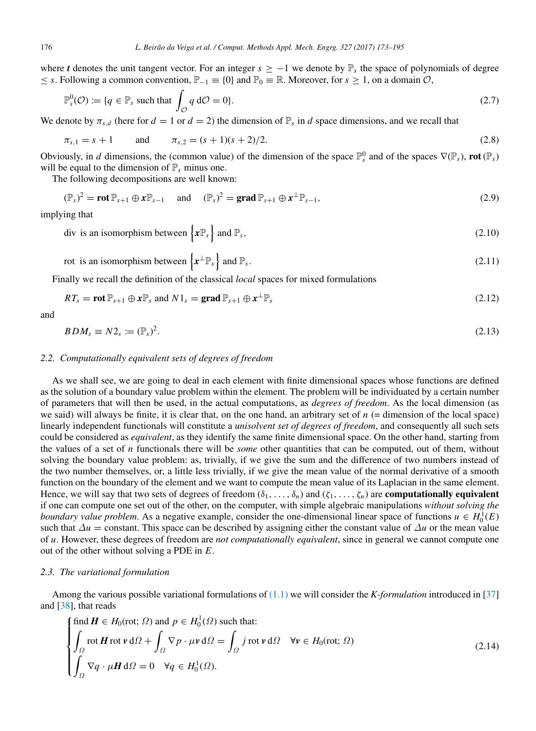where *t* denotes the unit tangent vector. For an integer  $s \geq -1$  we denote by  $\mathbb{P}_s$  the space of polynomials of degree ≤ *s*. Following a common convention,  $\mathbb{P}_{-1}$  = {0} and  $\mathbb{P}_0$  = ℝ. Moreover, for *s* ≥ 1, on a domain  $\mathcal{O}$ ,

<span id="page-3-4"></span>
$$
\mathbb{P}_s^0(\mathcal{O}) := \{ q \in \mathbb{P}_s \text{ such that } \int_{\mathcal{O}} q \, d\mathcal{O} = 0 \}. \tag{2.7}
$$

We denote by  $\pi_{s,d}$  (here for  $d = 1$  or  $d = 2$ ) the dimension of  $\mathbb{P}_s$  in  $d$  space dimensions, and we recall that

$$
\pi_{s,1} = s + 1 \qquad \text{and} \qquad \pi_{s,2} = (s+1)(s+2)/2. \tag{2.8}
$$

Obviously, in *d* dimensions, the (common value) of the dimension of the space  $\mathbb{P}_s^0$  and of the spaces  $\nabla(\mathbb{P}_s)$ , **rot**  $(\mathbb{P}_s)$ will be equal to the dimension of  $\mathbb{P}_s$  minus one.

The following decompositions are well known:

<span id="page-3-5"></span>
$$
(\mathbb{P}_s)^2 = \text{rot } \mathbb{P}_{s+1} \oplus x \mathbb{P}_{s-1} \quad \text{and} \quad (\mathbb{P}_s)^2 = \text{grad } \mathbb{P}_{s+1} \oplus x^{\perp} \mathbb{P}_{s-1},
$$
\n(2.9)

implying that

<span id="page-3-1"></span>div is an isomorphism between  $\{x \mathbb{P}_s\}$  and  $\mathbb{P}_s$ , (2.10)

rot is an isomorphism between  $\{x^{\perp} \mathbb{P}_{s}\}\$  and  $\mathbb{P}_{s}$ .  $(2.11)$ 

Finally we recall the definition of the classical *local* spaces for mixed formulations

<span id="page-3-2"></span>
$$
RT_s = \text{rot } \mathbb{P}_{s+1} \oplus x \mathbb{P}_s \text{ and } N1_s = \text{grad } \mathbb{P}_{s+1} \oplus x^{\perp} \mathbb{P}_s \tag{2.12}
$$

and

<span id="page-3-3"></span>
$$
BDM_s \equiv N2_s := (\mathbb{P}_s)^2. \tag{2.13}
$$

## *2.2. Computationally equivalent sets of degrees of freedom*

As we shall see, we are going to deal in each element with finite dimensional spaces whose functions are defined as the solution of a boundary value problem within the element. The problem will be individuated by a certain number of parameters that will then be used, in the actual computations, as *degrees of freedom*. As the local dimension (as we said) will always be finite, it is clear that, on the one hand, an arbitrary set of  $n$  (= dimension of the local space) linearly independent functionals will constitute a *unisolvent set of degrees of freedom*, and consequently all such sets could be considered as *equivalent*, as they identify the same finite dimensional space. On the other hand, starting from the values of a set of *n* functionals there will be *some* other quantities that can be computed, out of them, without solving the boundary value problem: as, trivially, if we give the sum and the difference of two numbers instead of the two number themselves, or, a little less trivially, if we give the mean value of the normal derivative of a smooth function on the boundary of the element and we want to compute the mean value of its Laplacian in the same element. Hence, we will say that two sets of degrees of freedom  $(\delta_1, \ldots, \delta_n)$  and  $(\zeta_1, \ldots, \zeta_n)$  are **computationally equivalent** if one can compute one set out of the other, on the computer, with simple algebraic manipulations *without solving the boundary value problem.* As a negative example, consider the one-dimensional linear space of functions  $u \in H_0^1(E)$ such that  $\Delta u =$  constant. This space can be described by assigning either the constant value of  $\Delta u$  or the mean value of *u*. However, these degrees of freedom are *not computationally equivalent*, since in general we cannot compute one out of the other without solving a PDE in *E*.

#### *2.3. The variational formulation*

Among the various possible variational formulations of [\(1.1\)](#page-1-0) we will consider the *K-formulation* introduced in [\[37\]](#page-21-5) and [\[38\]](#page-21-6), that reads

<span id="page-3-0"></span>
$$
\begin{cases}\n\text{find } \mathbf{H} \in H_0(\text{rot}; \Omega) \text{ and } p \in H_0^1(\Omega) \text{ such that:} \\
\int_{\Omega} \text{rot } \mathbf{H} \text{ rot } \mathbf{v} \, d\Omega + \int_{\Omega} \nabla p \cdot \mu \mathbf{v} \, d\Omega = \int_{\Omega} j \text{ rot } \mathbf{v} \, d\Omega \quad \forall \mathbf{v} \in H_0(\text{rot}; \Omega) \\
\int_{\Omega} \nabla q \cdot \mu \mathbf{H} \, d\Omega = 0 \quad \forall q \in H_0^1(\Omega).\n\end{cases}
$$
\n(2.14)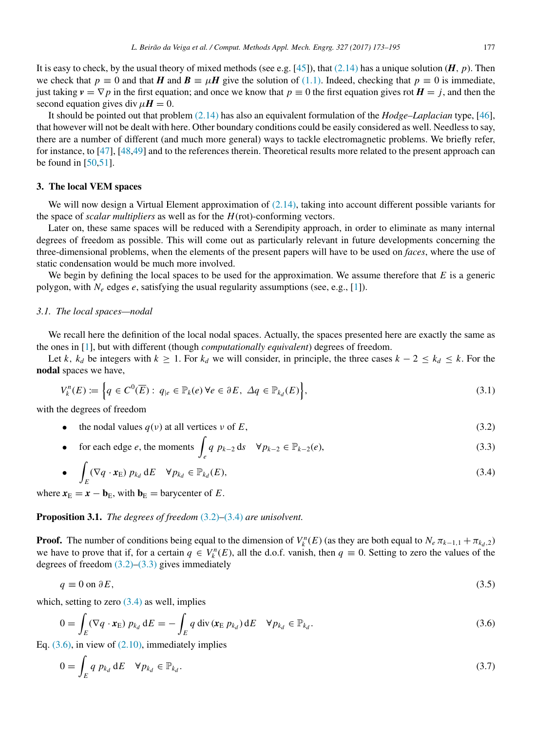It is easy to check, by the usual theory of mixed methods (see e.g. [\[45\]](#page-21-13)), that  $(2.14)$  has a unique solution  $(H, p)$ . Then we check that  $p \equiv 0$  and that *H* and  $B \equiv \mu H$  give the solution of [\(1.1\).](#page-1-0) Indeed, checking that  $p \equiv 0$  is immediate, just taking  $v = \nabla p$  in the first equation; and once we know that  $p \equiv 0$  the first equation gives rot  $H = j$ , and then the second equation gives div  $\mu H = 0$ .

It should be pointed out that problem [\(2.14\)](#page-3-0) has also an equivalent formulation of the *Hodge–Laplacian* type, [\[46\]](#page-21-14), that however will not be dealt with here. Other boundary conditions could be easily considered as well. Needless to say, there are a number of different (and much more general) ways to tackle electromagnetic problems. We briefly refer, for instance, to [\[47\]](#page-21-15), [\[48](#page-21-16)[,49\]](#page-21-17) and to the references therein. Theoretical results more related to the present approach can be found in [\[50](#page-21-18)[,51\]](#page-21-19).

#### <span id="page-4-0"></span>3. The local VEM spaces

We will now design a Virtual Element approximation of [\(2.14\),](#page-3-0) taking into account different possible variants for the space of *scalar multipliers* as well as for the *H*(rot)-conforming vectors.

Later on, these same spaces will be reduced with a Serendipity approach, in order to eliminate as many internal degrees of freedom as possible. This will come out as particularly relevant in future developments concerning the three-dimensional problems, when the elements of the present papers will have to be used on *faces*, where the use of static condensation would be much more involved.

We begin by defining the local spaces to be used for the approximation. We assume therefore that *E* is a generic polygon, with *N<sup>e</sup>* edges *e*, satisfying the usual regularity assumptions (see, e.g., [\[1\]](#page-20-0)).

#### *3.1. The local spaces—nodal*

We recall here the definition of the local nodal spaces. Actually, the spaces presented here are exactly the same as the ones in [\[1\]](#page-20-0), but with different (though *computationally equivalent*) degrees of freedom.

Let *k*,  $k_d$  be integers with  $k \geq 1$ . For  $k_d$  we will consider, in principle, the three cases  $k - 2 \leq k_d \leq k$ . For the nodal spaces we have,

<span id="page-4-7"></span>
$$
V_k^n(E) := \left\{ q \in C^0(\overline{E}) : q_{|e} \in \mathbb{P}_k(e) \,\forall e \in \partial E, \, \Delta q \in \mathbb{P}_{k_d}(E) \right\},\tag{3.1}
$$

with the degrees of freedom

- <span id="page-4-1"></span>the nodal values  $q(v)$  at all vertices  $v$  of  $E$ , (3.2)
- <span id="page-4-3"></span>• for each edge *<sup>e</sup>*, the moments <sup>∫</sup> *e e g p*<sub>*k*−2</sub> d*s*  $\forall p_{k-2} \in \mathbb{P}_{k-2}(e)$ , (3.3)

<span id="page-4-2"></span>• 
$$
\int_{E} (\nabla q \cdot \mathbf{x}_{E}) p_{k_d} dE \quad \forall p_{k_d} \in \mathbb{P}_{k_d}(E),
$$
\n(3.4)

where  $x<sub>E</sub> = x - b<sub>E</sub>$ , with  $b<sub>E</sub> =$  barycenter of *E*.

Proposition 3.1. *The degrees of freedom* [\(3.2\)–](#page-4-1)[\(3.4\)](#page-4-2) *are unisolvent.*

**Proof.** The number of conditions being equal to the dimension of  $V_k^n(E)$  (as they are both equal to  $N_e \pi_{k-1,1} + \pi_{k_d,2}$ ) we have to prove that if, for a certain  $q \in V_k^n(E)$ , all the d.o.f. vanish, then  $q \equiv 0$ . Setting to zero the values of the degrees of freedom  $(3.2)$ – $(3.3)$  gives immediately

<span id="page-4-6"></span>
$$
q \equiv 0 \text{ on } \partial E,\tag{3.5}
$$

which, setting to zero  $(3.4)$  as well, implies

<span id="page-4-4"></span>
$$
0 = \int_{E} (\nabla q \cdot \mathbf{x}_{E}) p_{k_{d}} dE = - \int_{E} q \operatorname{div} (\mathbf{x}_{E} p_{k_{d}}) dE \quad \forall p_{k_{d}} \in \mathbb{P}_{k_{d}}.
$$
 (3.6)

Eq.  $(3.6)$ , in view of  $(2.10)$ , immediately implies

<span id="page-4-5"></span>
$$
0 = \int_{E} q \ p_{k_d} dE \quad \forall p_{k_d} \in \mathbb{P}_{k_d}.
$$
\n(3.7)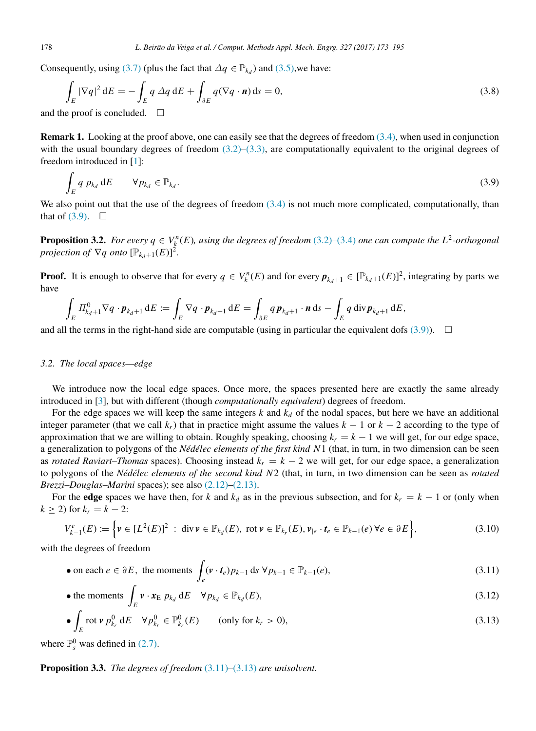Consequently, using [\(3.7\)](#page-4-5) (plus the fact that  $\Delta q \in \mathbb{P}_{k_d}$ ) and [\(3.5\),](#page-4-6) we have:

$$
\int_{E} |\nabla q|^2 dE = -\int_{E} q \, \Delta q \, dE + \int_{\partial E} q(\nabla q \cdot \mathbf{n}) ds = 0,
$$
\n(3.8)

and the proof is concluded.  $\square$ 

**Remark 1.** Looking at the proof above, one can easily see that the degrees of freedom  $(3.4)$ , when used in conjunction with the usual boundary degrees of freedom  $(3.2)$ – $(3.3)$ , are computationally equivalent to the original degrees of freedom introduced in [\[1\]](#page-20-0):

<span id="page-5-0"></span>
$$
\int_{E} q \ p_{k_d} dE \qquad \forall p_{k_d} \in \mathbb{P}_{k_d}.\tag{3.9}
$$

We also point out that the use of the degrees of freedom  $(3.4)$  is not much more complicated, computationally, than that of  $(3.9)$ .  $\Box$ 

<span id="page-5-5"></span>**Proposition 3.2.** For every  $q \in V_k^n(E)$ , using the degrees of freedom [\(3.2\)–](#page-4-1)[\(3.4\)](#page-4-2) one can compute the  $L^2$ -orthogonal *projection of*  $\nabla q$  *onto*  $[\mathbb{P}_{k_d+1}(E)]^2$ .

**Proof.** It is enough to observe that for every  $q \in V_k^n(E)$  and for every  $p_{k_d+1} \in [\mathbb{P}_{k_d+1}(E)]^2$ , integrating by parts we have

$$
\int_E \Pi_{k_d+1}^0 \nabla q \cdot \boldsymbol{p}_{k_d+1} \, dE := \int_E \nabla q \cdot \boldsymbol{p}_{k_d+1} \, dE = \int_{\partial E} q \, \boldsymbol{p}_{k_d+1} \cdot \boldsymbol{n} \, dS - \int_E q \, \text{div} \, \boldsymbol{p}_{k_d+1} \, dE,
$$

and all the terms in the right-hand side are computable (using in particular the equivalent dofs  $(3.9)$ ).  $\Box$ 

#### *3.2. The local spaces—edge*

We introduce now the local edge spaces. Once more, the spaces presented here are exactly the same already introduced in [\[3\]](#page-20-1), but with different (though *computationally equivalent*) degrees of freedom.

For the edge spaces we will keep the same integers  $k$  and  $k_d$  of the nodal spaces, but here we have an additional integer parameter (that we call  $k<sub>r</sub>$ ) that in practice might assume the values  $k - 1$  or  $k - 2$  according to the type of approximation that we are willing to obtain. Roughly speaking, choosing  $k_r = k - 1$  we will get, for our edge space, a generalization to polygons of the *Nédélec elements of the first kind N* 1 (that, in turn, in two dimension can be seen as *rotated Raviart–Thomas* spaces). Choosing instead  $k<sub>r</sub> = k - 2$  we will get, for our edge space, a generalization to polygons of the *Nédélec elements of the second kind N* <sup>2</sup> (that, in turn, in two dimension can be seen as *rotated Brezzi–Douglas–Marini* spaces); see also [\(2.12\)–](#page-3-2)[\(2.13\).](#page-3-3)

For the edge spaces we have then, for *k* and  $k_d$  as in the previous subsection, and for  $k_r = k - 1$  or (only when *k* ≥ 2) for  $k_r = k - 2$ :

<span id="page-5-4"></span>
$$
V_{k-1}^{e}(E) := \left\{ v \in [L^{2}(E)]^{2} : \text{div}\,v \in \mathbb{P}_{k_{d}}(E), \text{ rot}\,v \in \mathbb{P}_{k_{r}}(E), v_{|e} \cdot t_{e} \in \mathbb{P}_{k-1}(e) \,\forall e \in \partial E \right\},\tag{3.10}
$$

with the degrees of freedom

<span id="page-5-1"></span>• on each 
$$
e \in \partial E
$$
, the moments  $\int_{e} (\mathbf{v} \cdot \mathbf{t}_e) p_{k-1} ds \ \forall p_{k-1} \in \mathbb{P}_{k-1}(e)$ , (3.11)

<span id="page-5-3"></span>• the moments 
$$
\int_{E} \mathbf{v} \cdot \mathbf{x}_{E} p_{k_d} dE \quad \forall p_{k_d} \in \mathbb{P}_{k_d}(E),
$$
 (3.12)

<span id="page-5-2"></span>
$$
\bullet \int_{E} \operatorname{rot} \nu \, p_{k_r}^0 \, \mathrm{d}E \quad \forall p_{k_r}^0 \in \mathbb{P}_{k_r}^0(E) \qquad \text{(only for } k_r > 0), \tag{3.13}
$$

where  $\mathbb{P}_s^0$  was defined in [\(2.7\).](#page-3-4)

Proposition 3.3. *The degrees of freedom* [\(3.11\)–](#page-5-1)[\(3.13\)](#page-5-2) *are unisolvent.*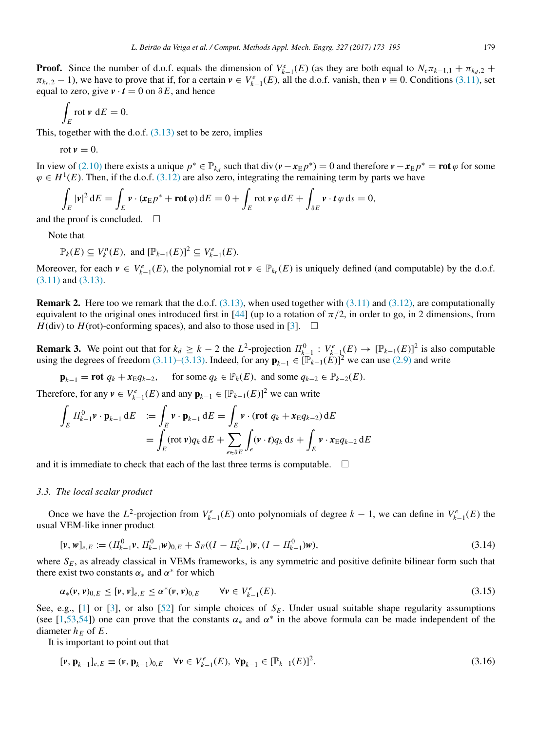**Proof.** Since the number of d.o.f. equals the dimension of  $V_{k-1}^e(E)$  (as they are both equal to  $N_e \pi_{k-1,1} + \pi_{k_d,2}$  +  $\pi_{k_r,2} - 1$ ), we have to prove that if, for a certain  $v \in V_{k-1}^e(E)$ , all the d.o.f. vanish, then  $v \equiv 0$ . Conditions [\(3.11\),](#page-5-1) set equal to zero, give  $\mathbf{v} \cdot \mathbf{t} = 0$  on  $\partial E$ , and hence

$$
\int_E \operatorname{rot} \mathbf{v} \, \mathrm{d}E = 0.
$$

This, together with the d.o.f.  $(3.13)$  set to be zero, implies

$$
rot v = 0.
$$

In view of [\(2.10\)](#page-3-1) there exists a unique  $p^* \in \mathbb{P}_{k_d}$  such that div  $(\mathbf{v} - \mathbf{x_E} p^*) = 0$  and therefore  $\mathbf{v} - \mathbf{x_E} p^* = \mathbf{rot} \varphi$  for some  $\varphi \in H^1(E)$ . Then, if the d.o.f. [\(3.12\)](#page-5-3) are also zero, integrating the remaining term by parts we have

$$
\int_{E} |\mathbf{v}|^{2} dE = \int_{E} \mathbf{v} \cdot (\mathbf{x}_{E} p^{*} + \mathbf{rot} \varphi) dE = 0 + \int_{E} \mathbf{rot} \mathbf{v} \varphi dE + \int_{\partial E} \mathbf{v} \cdot t \varphi ds = 0,
$$

and the proof is concluded.  $\square$ 

Note that

$$
\mathbb{P}_{k}(E) \subseteq V_{k}^{n}(E), \text{ and } [\mathbb{P}_{k-1}(E)]^{2} \subseteq V_{k-1}^{e}(E).
$$

Moreover, for each  $v \in V_{k-1}^e(E)$ , the polynomial rot  $v \in \mathbb{P}_{k}E(E)$  is uniquely defined (and computable) by the d.o.f. [\(3.11\)](#page-5-1) and [\(3.13\).](#page-5-2)

**Remark 2.** Here too we remark that the d.o.f.  $(3.13)$ , when used together with  $(3.11)$  and  $(3.12)$ , are computationally equivalent to the original ones introduced first in [\[44\]](#page-21-12) (up to a rotation of  $\pi/2$ , in order to go, in 2 dimensions, from *H*(div) to *H*(rot)-conforming spaces), and also to those used in [\[3\]](#page-20-1).  $\Box$ 

**Remark 3.** We point out that for  $k_d \geq k-2$  the  $L^2$ -projection  $\Pi_{k-1}^0 : V_{k-1}^e(E) \to [\mathbb{P}_{k-1}(E)]^2$  is also computable using the degrees of freedom [\(3.11\)](#page-5-1)[–\(3.13\).](#page-5-2) Indeed, for any  $\mathbf{p}_{k-1} \in [\mathbb{P}_{k-1}(E)]^2$  we can use [\(2.9\)](#page-3-5) and write

 $\mathbf{p}_{k-1} = \text{rot } q_k + x_{\text{E}} q_{k-2}, \quad \text{for some } q_k \in \mathbb{P}_k(E), \text{ and some } q_{k-2} \in \mathbb{P}_{k-2}(E).$ 

Therefore, for any  $v \in V_{k-1}^e(E)$  and any  $\mathbf{p}_{k-1} \in [\mathbb{P}_{k-1}(E)]^2$  we can write

$$
\int_{E} \Pi_{k-1}^{0} \mathbf{v} \cdot \mathbf{p}_{k-1} dE = \int_{E} \mathbf{v} \cdot \mathbf{p}_{k-1} dE = \int_{E} \mathbf{v} \cdot (\mathbf{rot} \ q_{k} + \mathbf{x}_{E} q_{k-2}) dE
$$
\n
$$
= \int_{E} (\mathbf{rot} \ \mathbf{v}) q_{k} dE + \sum_{e \in \partial E} \int_{e} (\mathbf{v} \cdot t) q_{k} dS + \int_{E} \mathbf{v} \cdot \mathbf{x}_{E} q_{k-2} dE
$$

and it is immediate to check that each of the last three terms is computable.  $\Box$ 

#### *3.3. The local scalar product*

Once we have the  $L^2$ -projection from  $V_{k-1}^e(E)$  onto polynomials of degree  $k-1$ , we can define in  $V_{k-1}^e(E)$  the usual VEM-like inner product

<span id="page-6-1"></span>
$$
[\mathbf{v}, \mathbf{w}]_{e,E} := (\Pi_{k-1}^0 \mathbf{v}, \Pi_{k-1}^0 \mathbf{w})_{0,E} + S_E((I - \Pi_{k-1}^0)\mathbf{v}, (I - \Pi_{k-1}^0)\mathbf{w}),
$$
\n(3.14)

where  $S_E$ , as already classical in VEMs frameworks, is any symmetric and positive definite bilinear form such that there exist two constants  $\alpha_*$  and  $\alpha^*$  for which

$$
\alpha_*(v, v)_{0,E} \le [v, v]_{e,E} \le \alpha^*(v, v)_{0,E} \qquad \forall v \in V_{k-1}^e(E). \tag{3.15}
$$

See, e.g., [\[1\]](#page-20-0) or [\[3\]](#page-20-1), or also [\[52\]](#page-21-20) for simple choices of  $S<sub>E</sub>$ . Under usual suitable shape regularity assumptions (see [\[1,](#page-20-0)[53](#page-21-21)[,54\]](#page-21-22)) one can prove that the constants  $\alpha_*$  and  $\alpha^*$  in the above formula can be made independent of the diameter  $h_E$  of  $E$ .

It is important to point out that

<span id="page-6-2"></span><span id="page-6-0"></span>
$$
[\mathbf{v}, \mathbf{p}_{k-1}]_{e,E} \equiv (\mathbf{v}, \mathbf{p}_{k-1})_{0,E} \quad \forall \mathbf{v} \in V_{k-1}^e(E), \ \forall \mathbf{p}_{k-1} \in [\mathbb{P}_{k-1}(E)]^2.
$$
 (3.16)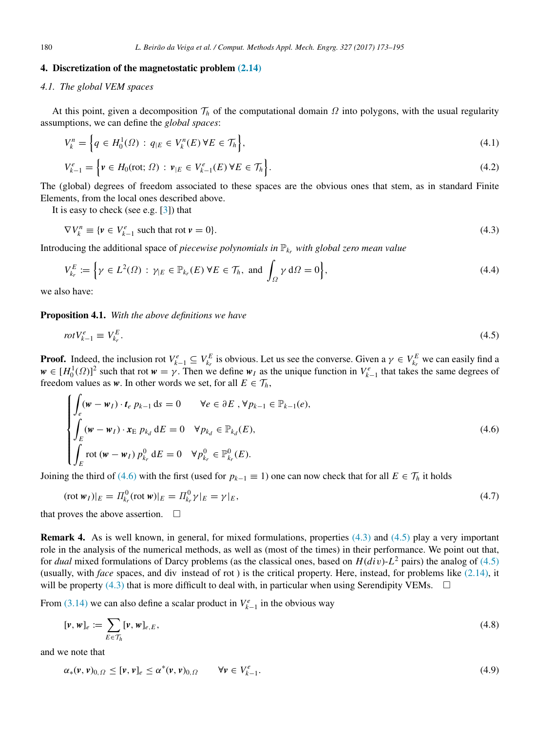## 4. Discretization of the magnetostatic problem [\(2.14\)](#page-3-0)

#### *4.1. The global VEM spaces*

At this point, given a decomposition  $\mathcal{T}_h$  of the computational domain  $\Omega$  into polygons, with the usual regularity assumptions, we can define the *global spaces*:

$$
V_k^n = \left\{ q \in H_0^1(\Omega) : q_{|E} \in V_k^n(E) \, \forall E \in \mathcal{T}_h \right\},\tag{4.1}
$$

$$
V_{k-1}^e = \left\{ \mathbf{v} \in H_0(\text{rot}; \, \Omega) \, : \, \mathbf{v}_{|E} \in V_{k-1}^e(E) \, \forall E \in \mathcal{T}_h \right\}.
$$
\n
$$
(4.2)
$$

The (global) degrees of freedom associated to these spaces are the obvious ones that stem, as in standard Finite Elements, from the local ones described above.

It is easy to check (see e.g. [\[3\]](#page-20-1)) that

<span id="page-7-1"></span>
$$
\nabla V_k^n \equiv \{ v \in V_{k-1}^e \text{ such that rot } v = 0 \}. \tag{4.3}
$$

Introducing the additional space of *piecewise polynomials in*  $\mathbb{P}_{k_r}$  *with global zero mean value* 

$$
V_{k_r}^E := \left\{ \gamma \in L^2(\Omega) : \gamma_E \in \mathbb{P}_{k_r}(E) \,\forall E \in \mathcal{T}_h, \text{ and } \int_{\Omega} \gamma \,d\Omega = 0 \right\},\tag{4.4}
$$

we also have:

Proposition 4.1. *With the above definitions we have*

<span id="page-7-2"></span>
$$
rotV_{k-1}^e \equiv V_{k_r}^E. \tag{4.5}
$$

**Proof.** Indeed, the inclusion rot  $V_{k-1}^e \subseteq V_{k_r}^E$  is obvious. Let us see the converse. Given a  $\gamma \in V_{k_r}^E$  we can easily find a  $w \in [H_0^1(\Omega)]^2$  such that rot  $w = \gamma$ . Then we define  $w_I$  as the unique function in  $V_{k-1}^e$  that takes the same degrees of freedom values as *w*. In other words we set, for all  $E \in \mathcal{T}_h$ ,

<span id="page-7-0"></span>
$$
\begin{cases}\n\int_{e} (\mathbf{w} - \mathbf{w}_{I}) \cdot t_{e} \, p_{k-1} \, \mathrm{d}s = 0 \qquad \forall e \in \partial E, \forall p_{k-1} \in \mathbb{P}_{k-1}(e), \\
\int_{E} (\mathbf{w} - \mathbf{w}_{I}) \cdot \mathbf{x}_{E} \, p_{k_{d}} \, \mathrm{d}E = 0 \quad \forall p_{k_{d}} \in \mathbb{P}_{k_{d}}(E), \\
\int_{E} \operatorname{rot} (\mathbf{w} - \mathbf{w}_{I}) \, p_{k_{r}}^{0} \, \mathrm{d}E = 0 \quad \forall p_{k_{r}}^{0} \in \mathbb{P}_{k_{r}}^{0}(E).\n\end{cases} \tag{4.6}
$$

Joining the third of [\(4.6\)](#page-7-0) with the first (used for  $p_{k-1} \equiv 1$ ) one can now check that for all  $E \in \mathcal{T}_h$  it holds

<span id="page-7-5"></span>
$$
(\text{rot } \mathbf{w}_I)|_E = \Pi_{k_r}^0 (\text{rot } \mathbf{w})|_E = \Pi_{k_r}^0 \gamma|_E = \gamma|_E,\tag{4.7}
$$

that proves the above assertion.  $\square$ 

**Remark 4.** As is well known, in general, for mixed formulations, properties  $(4.3)$  and  $(4.5)$  play a very important role in the analysis of the numerical methods, as well as (most of the times) in their performance. We point out that, for *dual* mixed formulations of Darcy problems (as the classical ones, based on *H*(*di*v)-*L* <sup>2</sup> pairs) the analog of [\(4.5\)](#page-7-2) (usually, with *face* spaces, and div instead of rot ) is the critical property. Here, instead, for problems like [\(2.14\),](#page-3-0) it will be property [\(4.3\)](#page-7-1) that is more difficult to deal with, in particular when using Serendipity VEMs.  $\Box$ 

From [\(3.14\)](#page-6-1) we can also define a scalar product in  $V_{k-1}^e$  in the obvious way

<span id="page-7-3"></span>
$$
[\mathbf{v}, \mathbf{w}]_e := \sum_{E \in \mathcal{T}_h} [\mathbf{v}, \mathbf{w}]_{e,E},\tag{4.8}
$$

and we note that

<span id="page-7-4"></span>
$$
\alpha_*(\mathbf{v},\mathbf{v})_{0,\Omega} \leq [\mathbf{v},\mathbf{v}]_e \leq \alpha^*(\mathbf{v},\mathbf{v})_{0,\Omega} \qquad \forall \mathbf{v} \in V_{k-1}^e.
$$
\n
$$
(4.9)
$$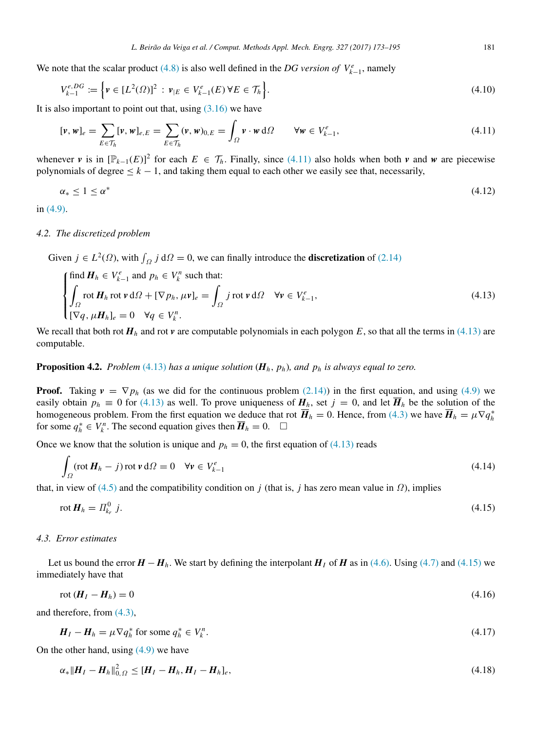We note that the scalar product [\(4.8\)](#page-7-3) is also well defined in the *DG version of*  $V_{k-1}^e$ , namely

$$
V_{k-1}^{e,DG} := \left\{ \nu \in [L^2(\Omega)]^2 : \nu_{|E} \in V_{k-1}^e(E) \,\forall E \in \mathcal{T}_h \right\}.
$$
\n(4.10)

It is also important to point out that, using  $(3.16)$  we have

<span id="page-8-0"></span>
$$
[\mathbf{v}, \mathbf{w}]_e = \sum_{E \in \mathcal{T}_h} [\mathbf{v}, \mathbf{w}]_{e,E} = \sum_{E \in \mathcal{T}_h} (\mathbf{v}, \mathbf{w})_{0,E} = \int_{\Omega} \mathbf{v} \cdot \mathbf{w} \, d\Omega \qquad \forall \mathbf{w} \in V_{k-1}^e,
$$
\n
$$
(4.11)
$$

whenever *v* is in  $[\mathbb{P}_{k-1}(E)]^2$  for each  $E \in \mathcal{T}_h$ . Finally, since [\(4.11\)](#page-8-0) also holds when both *v* and *w* are piecewise polynomials of degree  $\leq k-1$ , and taking them equal to each other we easily see that, necessarily,

<span id="page-8-3"></span>
$$
\alpha_* \le 1 \le \alpha^* \tag{4.12}
$$

in [\(4.9\).](#page-7-4)

#### *4.2. The discretized problem*

Given  $j \in L^2(\Omega)$ , with  $\int_{\Omega} j \, d\Omega = 0$ , we can finally introduce the **discretization** of [\(2.14\)](#page-3-0)

<span id="page-8-1"></span>
$$
\begin{cases}\n\text{find } \mathbf{H}_h \in V_{k-1}^e \text{ and } p_h \in V_k^n \text{ such that:} \\
\int_{\Omega} \text{rot } \mathbf{H}_h \text{ rot } \mathbf{v} \, d\Omega + [\nabla p_h, \mu \mathbf{v}]_e = \int_{\Omega} j \text{ rot } \mathbf{v} \, d\Omega \quad \forall \mathbf{v} \in V_{k-1}^e, \\
[\nabla q, \mu \mathbf{H}_h]_e = 0 \quad \forall q \in V_k^n.\n\end{cases}
$$
\n(4.13)

We recall that both rot  $H_h$  and rot  $\nu$  are computable polynomials in each polygon *E*, so that all the terms in [\(4.13\)](#page-8-1) are computable.

# <span id="page-8-4"></span>Proposition 4.2. *Problem* [\(4.13\)](#page-8-1) *has a unique solution* (*Hh*, *ph*)*, and p<sup>h</sup> is always equal to zero.*

**Proof.** Taking  $v = \nabla p_h$  (as we did for the continuous problem [\(2.14\)\)](#page-3-0) in the first equation, and using [\(4.9\)](#page-7-4) we easily obtain  $p_h \equiv 0$  for [\(4.13\)](#page-8-1) as well. To prove uniqueness of  $H_h$ , set  $j = 0$ , and let  $\overline{H}_h$  be the solution of the homogeneous problem. From the first equation we deduce that rot  $\overline{H}_h = 0$ . Hence, from [\(4.3\)](#page-7-1) we have  $\overline{H}_h = \mu \nabla q_h^*$ for some  $q_h^* \in V_k^n$ . The second equation gives then  $\overline{H}_h = 0$ .  $\Box$ 

Once we know that the solution is unique and  $p_h = 0$ , the first equation of [\(4.13\)](#page-8-1) reads

$$
\int_{\Omega} (\operatorname{rot} H_h - j) \operatorname{rot} \mathbf{v} d\Omega = 0 \quad \forall \mathbf{v} \in V_{k-1}^e \tag{4.14}
$$

that, in view of [\(4.5\)](#page-7-2) and the compatibility condition on *j* (that is, *j* has zero mean value in  $\Omega$ ), implies

<span id="page-8-2"></span>
$$
\operatorname{rot} H_h = \Pi_{k_r}^0 j. \tag{4.15}
$$

#### *4.3. Error estimates*

Let us bound the error  $H - H_h$ . We start by defining the interpolant  $H_I$  of  $H$  as in [\(4.6\).](#page-7-0) Using [\(4.7\)](#page-7-5) and [\(4.15\)](#page-8-2) we immediately have that

<span id="page-8-5"></span>
$$
rot\left(\boldsymbol{H}_{I}-\boldsymbol{H}_{h}\right)=0\tag{4.16}
$$

and therefore, from [\(4.3\),](#page-7-1)

<span id="page-8-6"></span>
$$
\boldsymbol{H}_I - \boldsymbol{H}_h = \mu \nabla q_h^* \text{ for some } q_h^* \in V_h^n. \tag{4.17}
$$

On the other hand, using  $(4.9)$  we have

$$
\alpha_* \|H_I - H_h\|_{0,\Omega}^2 \le [H_I - H_h, H_I - H_h]_e,\tag{4.18}
$$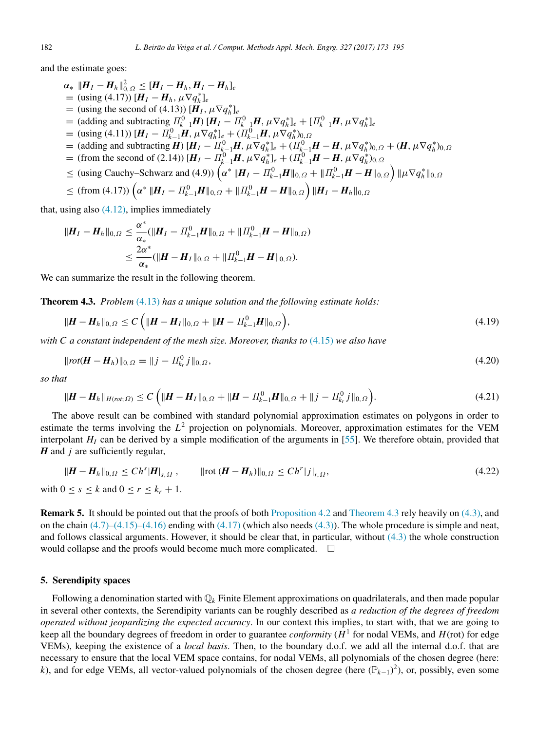and the estimate goes:

 $\alpha_*\|H_I-H_h\|_{0,\Omega}^2\leq [H_I-H_h,H_I-H_h]_e$  $=$  (using (4.17))  $[H_I - H_h, \mu \nabla q_h^*]_e$  $=$  (using the second of (4.13))  $[\vec{H}_I, \mu \nabla q_h^*]_e$  $=$  (adding and subtracting  $\Pi_{k-1}^0 H$ )  $[H_I - \Pi_{k-1}^0 H, \mu \nabla q_h^*]_e + [\Pi_{k-1}^0 H, \mu \nabla q_h^*]_e$  $\hat{H} = \left( \text{using (4.11)} \right) \left[ H_I - H_{k-1}^0 H, \mu \nabla q_h^* \right]_e + \left( H_{k-1}^0 H, \mu \nabla q_h^* \right)_{0,\Omega}$  $=$  (adding and subtracting  $\vec{H}$ )  $[H_I - \Pi_{k=1}^0 H, \mu \nabla q_h^*]_e + (\Pi_{k=1}^0 H - H, \mu \nabla q_h^* )_{0,\Omega} + (H, \mu \nabla q_h^* )_{0,\Omega}$  $=$  (from the second of (2.14))  $[H_I - \Pi_{k-1}^0 H, \mu \nabla q_h^*]_e + (\Pi_{k-1}^0 H - H, \mu \nabla q_h^* )_{0,\Omega}$  $\leq$  (using Cauchy–Schwarz and (4.9))  $(\alpha^* \|H_I - \Pi_{k-1}^0 H \|_{0,\Omega} + \| \Pi_{k-1}^0 H - H \|_{0,\Omega}) \| \mu \nabla q_h^* \|_{0,\Omega}$  $\leq$  (from (4.17))  $\left(\alpha^* \|H_I - \varPi_{k-1}^0 H\|_{0,\varOmega} + \|\varPi_{k-1}^0 H - H\|_{0,\varOmega}\right) \|H_I - H_h\|_{0,\varOmega}$ 

that, using also  $(4.12)$ , implies immediately

$$
\begin{aligned} \|\boldsymbol{H}_I - \boldsymbol{H}_h\|_{0,\Omega} &\leq \frac{\alpha^*}{\alpha_*} (\|\boldsymbol{H}_I - \boldsymbol{\varPi}_{k-1}^0 \boldsymbol{H}\|_{0,\Omega} + \|\boldsymbol{\varPi}_{k-1}^0 \boldsymbol{H} - \boldsymbol{H}\|_{0,\Omega}) \\ &\leq \frac{2\alpha^*}{\alpha_*} (\|\boldsymbol{H} - \boldsymbol{H}_I\|_{0,\Omega} + \|\boldsymbol{\varPi}_{k-1}^0 \boldsymbol{H} - \boldsymbol{H}\|_{0,\Omega}). \end{aligned}
$$

We can summarize the result in the following theorem.

<span id="page-9-1"></span>Theorem 4.3. *Problem* [\(4.13\)](#page-8-1) *has a unique solution and the following estimate holds:*

<span id="page-9-2"></span>
$$
\|H - H_h\|_{0,\Omega} \le C\left(\|H - H_I\|_{0,\Omega} + \|H - \Pi_{k-1}^0 H\|_{0,\Omega}\right),\tag{4.19}
$$

*with C a constant independent of the mesh size. Moreover, thanks to* [\(4.15\)](#page-8-2) *we also have*

$$
||rot(\mathbf{H} - \mathbf{H}_h)||_{0,\Omega} = ||j - \Pi_{k_r}^0 j||_{0,\Omega},
$$
\n(4.20)

*so that*

<span id="page-9-3"></span>
$$
\|\boldsymbol{H} - \boldsymbol{H}_{h}\|_{H(rot;\Omega)} \le C \left( \|\boldsymbol{H} - \boldsymbol{H}_{I}\|_{0,\Omega} + \|\boldsymbol{H} - \boldsymbol{\Pi}_{k-1}^{0}\boldsymbol{H}\|_{0,\Omega} + \|\boldsymbol{j} - \boldsymbol{\Pi}_{k}^{0}\boldsymbol{j}\|_{0,\Omega} \right). \tag{4.21}
$$

The above result can be combined with standard polynomial approximation estimates on polygons in order to estimate the terms involving the *L* <sup>2</sup> projection on polynomials. Moreover, approximation estimates for the VEM interpolant  $H<sub>I</sub>$  can be derived by a simple modification of the arguments in [\[55\]](#page-21-23). We therefore obtain, provided that *H* and *j* are sufficiently regular,

<span id="page-9-4"></span>
$$
\|\mathbf{H} - \mathbf{H}_h\|_{0,\Omega} \le C h^s |\mathbf{H}|_{s,\Omega}, \qquad \|\text{rot}\, (\mathbf{H} - \mathbf{H}_h)\|_{0,\Omega} \le C h^r |j|_{r,\Omega}, \tag{4.22}
$$

with  $0 \leq s \leq k$  and  $0 \leq r \leq k_r + 1$ .

Remark 5. It should be pointed out that the proofs of both [Proposition 4.2](#page-8-4) and [Theorem 4.3](#page-9-1) rely heavily on [\(4.3\),](#page-7-1) and on the chain  $(4.7)$ – $(4.15)$ – $(4.16)$  ending with  $(4.17)$  (which also needs  $(4.3)$ ). The whole procedure is simple and neat, and follows classical arguments. However, it should be clear that, in particular, without [\(4.3\)](#page-7-1) the whole construction would collapse and the proofs would become much more complicated.  $\Box$ 

#### <span id="page-9-0"></span>5. Serendipity spaces

Following a denomination started with Q*<sup>k</sup>* Finite Element approximations on quadrilaterals, and then made popular in several other contexts, the Serendipity variants can be roughly described as *a reduction of the degrees of freedom operated without jeopardizing the expected accuracy*. In our context this implies, to start with, that we are going to keep all the boundary degrees of freedom in order to guarantee *conformity* (*H* 1 for nodal VEMs, and *H*(rot) for edge VEMs), keeping the existence of a *local basis*. Then, to the boundary d.o.f. we add all the internal d.o.f. that are necessary to ensure that the local VEM space contains, for nodal VEMs, all polynomials of the chosen degree (here: *k*), and for edge VEMs, all vector-valued polynomials of the chosen degree (here (P*k*−1) 2 ), or, possibly, even some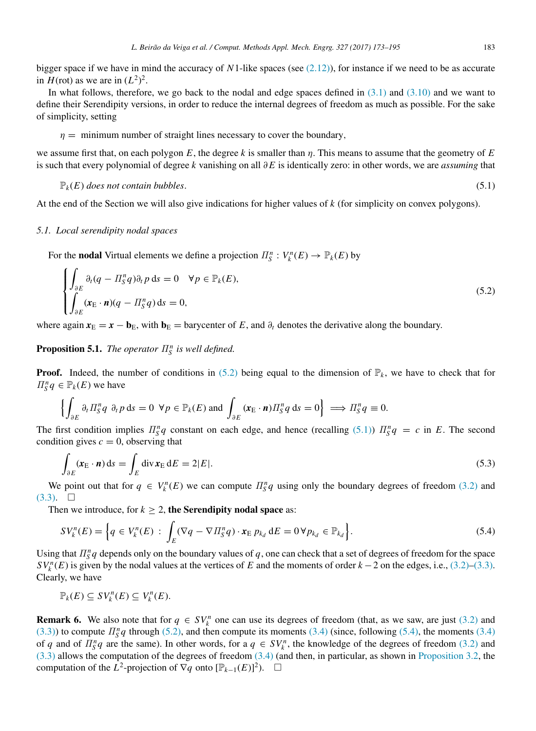bigger space if we have in mind the accuracy of *N*1-like spaces (see [\(2.12\)\)](#page-3-2), for instance if we need to be as accurate in  $H(\text{rot})$  as we are in  $(L^2)^2$ .

In what follows, therefore, we go back to the nodal and edge spaces defined in [\(3.1\)](#page-4-7) and [\(3.10\)](#page-5-4) and we want to define their Serendipity versions, in order to reduce the internal degrees of freedom as much as possible. For the sake of simplicity, setting

#### $\eta =$  minimum number of straight lines necessary to cover the boundary,

we assume first that, on each polygon  $E$ , the degree  $k$  is smaller than  $\eta$ . This means to assume that the geometry of  $E$ is such that every polynomial of degree *k* vanishing on all ∂*E* is identically zero: in other words, we are *assuming* that

<span id="page-10-1"></span>
$$
\mathbb{P}_k(E) \text{ does not contain bubbles.} \tag{5.1}
$$

At the end of the Section we will also give indications for higher values of *k* (for simplicity on convex polygons).

#### *5.1. Local serendipity nodal spaces*

For the **nodal** Virtual elements we define a projection  $\Pi_S^n : V_k^n(E) \to \mathbb{P}_k(E)$  by

<span id="page-10-0"></span>
$$
\begin{cases}\n\int_{\partial E} \partial_t (q - \Pi_S^n q) \partial_t p \, ds = 0 \quad \forall p \in \mathbb{P}_k(E), \\
\int_{\partial E} (\mathbf{x}_E \cdot \mathbf{n}) (q - \Pi_S^n q) \, ds = 0,\n\end{cases}
$$
\n(5.2)

where again  $x_{\text{E}} = x - \mathbf{b}_{\text{E}}$ , with  $\mathbf{b}_{\text{E}} =$  barycenter of *E*, and  $\partial_t$  denotes the derivative along the boundary.

# <span id="page-10-4"></span>**Proposition 5.1.** *The operator*  $\Pi_S^n$  *is well defined.*

**Proof.** Indeed, the number of conditions in [\(5.2\)](#page-10-0) being equal to the dimension of  $\mathbb{P}_k$ , we have to check that for  $\Pi_S^n q \in \mathbb{P}_k(E)$  we have

$$
\left\{\int_{\partial E} \partial_t \Pi_S^n q \, \partial_t p \, \mathrm{d} s = 0 \, \forall p \in \mathbb{P}_k(E) \text{ and } \int_{\partial E} (\mathbf{x}_E \cdot \mathbf{n}) \Pi_S^n q \, \mathrm{d} s = 0 \right\} \implies \Pi_S^n q \equiv 0.
$$

The first condition implies  $\Pi_S^n q$  constant on each edge, and hence (recalling [\(5.1\)\)](#page-10-1)  $\Pi_S^n q = c$  in *E*. The second condition gives  $c = 0$ , observing that

$$
\int_{\partial E} (\mathbf{x}_{\rm E} \cdot \mathbf{n}) \, \mathrm{d}s = \int_E \operatorname{div} \mathbf{x}_{\rm E} \, \mathrm{d}E = 2|E|.
$$
\n(5.3)

We point out that for  $q \in V_k^n(E)$  we can compute  $\prod_{S}^n q$  using only the boundary degrees of freedom [\(3.2\)](#page-4-1) and  $(3.3)$ .  $\square$ 

Then we introduce, for  $k \geq 2$ , the Serendipity nodal space as:

<span id="page-10-2"></span>
$$
SV_k^n(E) = \left\{ q \in V_k^n(E) : \int_E (\nabla q - \nabla \Pi_S^n q) \cdot \mathbf{x}_E \, p_{k_d} \, dE = 0 \, \forall p_{k_d} \in \mathbb{P}_{k_d} \right\}.
$$
\n
$$
(5.4)
$$

Using that  $\Pi_S^n q$  depends only on the boundary values of q, one can check that a set of degrees of freedom for the space  $SV_k^n(E)$  is given by the nodal values at the vertices of *E* and the moments of order  $k-2$  on the edges, i.e., [\(3.2\)–](#page-4-1)[\(3.3\).](#page-4-3) Clearly, we have

$$
\mathbb{P}_k(E) \subseteq SV_k^n(E) \subseteq V_k^n(E).
$$

<span id="page-10-3"></span>**Remark 6.** We also note that for  $q \in SV_k^n$  one can use its degrees of freedom (that, as we saw, are just [\(3.2\)](#page-4-1) and [\(3.3\)\)](#page-4-3) to compute  $\Pi_{\mathcal{S}}^n q$  through [\(5.2\),](#page-10-0) and then compute its moments [\(3.4\)](#page-4-2) (since, following [\(5.4\),](#page-10-2) the moments (3.4) of *q* and of  $\prod_{s=1}^{n} q$  are the same). In other words, for a  $q \in SV_k^n$ , the knowledge of the degrees of freedom [\(3.2\)](#page-4-1) and [\(3.3\)](#page-4-3) allows the computation of the degrees of freedom [\(3.4\)](#page-4-2) (and then, in particular, as shown in [Proposition 3.2,](#page-5-5) the computation of the  $\overline{L}^2$ -projection of  $\nabla q$  onto  $[\mathbb{P}_{k-1}(E)]^2$ ).  $\square$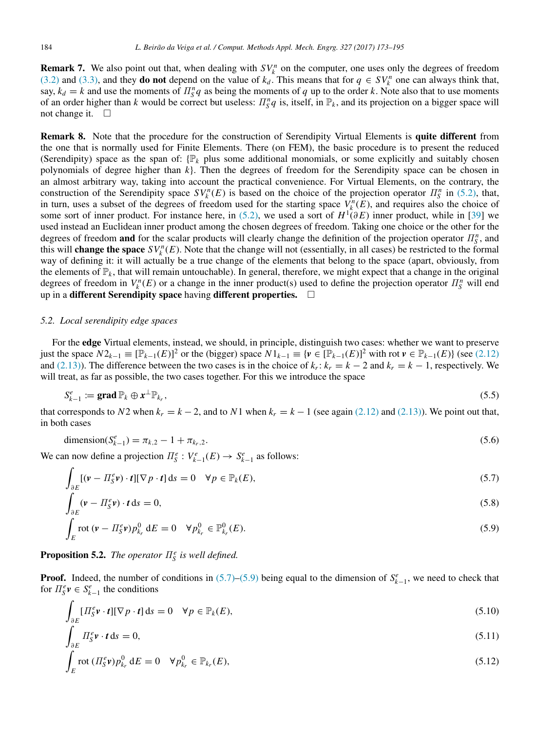<span id="page-11-5"></span>**Remark 7.** We also point out that, when dealing with  $SV_k^n$  on the computer, one uses only the degrees of freedom [\(3.2\)](#page-4-1) and [\(3.3\),](#page-4-3) and they **do not** depend on the value of  $k_d$ . This means that for  $q \in SV_k^n$  one can always think that, say,  $k_d = k$  and use the moments of  $\prod_{S}^{n} q$  as being the moments of q up to the order k. Note also that to use moments of an order higher than *k* would be correct but useless:  $\Pi_S^n q$  is, itself, in  $\mathbb{P}_k$ , and its projection on a bigger space will not change it.  $\square$ 

<span id="page-11-6"></span>Remark 8. Note that the procedure for the construction of Serendipity Virtual Elements is quite different from the one that is normally used for Finite Elements. There (on FEM), the basic procedure is to present the reduced (Serendipity) space as the span of:  $\mathbb{P}_k$  plus some additional monomials, or some explicitly and suitably chosen polynomials of degree higher than *k*}. Then the degrees of freedom for the Serendipity space can be chosen in an almost arbitrary way, taking into account the practical convenience. For Virtual Elements, on the contrary, the construction of the Serendipity space  $SV_k^n(E)$  is based on the choice of the projection operator  $\Pi_S^n$  in [\(5.2\),](#page-10-0) that, in turn, uses a subset of the degrees of freedom used for the starting space  $V_k^n(E)$ , and requires also the choice of some sort of inner product. For instance here, in [\(5.2\),](#page-10-0) we used a sort of  $H^1(\partial E)$  inner product, while in [\[39\]](#page-21-7) we used instead an Euclidean inner product among the chosen degrees of freedom. Taking one choice or the other for the degrees of freedom and for the scalar products will clearly change the definition of the projection operator  $\Pi_S^n$ , and this will **change the space**  $SV_k^n(E)$ . Note that the change will not (essentially, in all cases) be restricted to the formal way of defining it: it will actually be a true change of the elements that belong to the space (apart, obviously, from the elements of  $\mathbb{P}_k$ , that will remain untouchable). In general, therefore, we might expect that a change in the original degrees of freedom in  $V_k^n(E)$  or a change in the inner product(s) used to define the projection operator  $\Pi_S^n$  will end up in a different Serendipity space having different properties.  $\Box$ 

# *5.2. Local serendipity edge spaces*

For the edge Virtual elements, instead, we should, in principle, distinguish two cases: whether we want to preserve just the space  $N2_{k-1} \equiv [\mathbb{P}_{k-1}(E)]^2$  or the (bigger) space  $N1_{k-1} \equiv {\{\mathbf{v} \in [\mathbb{P}_{k-1}(E)]^2 \text{ with rot } \mathbf{v} \in \mathbb{P}_{k-1}(E)\}}$  (see [\(2.12\)](#page-3-2) and [\(2.13\)\)](#page-3-3). The difference between the two cases is in the choice of  $k_r$ :  $k_r = k - 2$  and  $k_r = k - 1$ , respectively. We will treat, as far as possible, the two cases together. For this we introduce the space

$$
S_{k-1}^e := \mathbf{grad}\,\mathbb{P}_k \oplus \mathbf{x}^\perp \mathbb{P}_{k_r},\tag{5.5}
$$

that corresponds to *N*2 when  $k_r = k - 2$ , and to *N*1 when  $k_r = k - 1$  (see again [\(2.12\)](#page-3-2) and [\(2.13\)\)](#page-3-3). We point out that, in both cases

dimension
$$
(S_{k-1}^e) = \pi_{k,2} - 1 + \pi_{k_r,2}.
$$
 (5.6)

We can now define a projection  $\Pi_S^e: V_{k-1}^e(E) \to S_{k-1}^e$  as follows:

<span id="page-11-0"></span>
$$
\int_{\partial E} [(\mathbf{v} - \Pi_S^e \mathbf{v}) \cdot \mathbf{t}] [\nabla p \cdot \mathbf{t}] ds = 0 \quad \forall p \in \mathbb{P}_k(E),
$$
\n(5.7)

<span id="page-11-7"></span>
$$
\int_{\partial E} (\mathbf{v} - \Pi_{\mathcal{S}}^e \mathbf{v}) \cdot \mathbf{t} \, \mathrm{d}\mathbf{s} = 0,\tag{5.8}
$$

<span id="page-11-1"></span>
$$
\int_{E} \operatorname{rot} \left( v - H_{S}^{e} v \right) p_{k_{r}}^{0} dE = 0 \quad \forall p_{k_{r}}^{0} \in \mathbb{P}_{k_{r}}^{0}(E). \tag{5.9}
$$

**Proposition 5.2.** *The operator*  $\Pi_S^e$  *is well defined.* 

**Proof.** Indeed, the number of conditions in  $(5.7)$ – $(5.9)$  being equal to the dimension of  $S_{k-1}^e$ , we need to check that for  $\Pi_S^e \mathbf{v} \in S_{k-1}^e$  the conditions

<span id="page-11-4"></span>
$$
\int_{\partial E} [H_S^e \mathbf{v} \cdot \mathbf{t}] [\nabla p \cdot \mathbf{t}] ds = 0 \quad \forall p \in \mathbb{P}_k(E),
$$
\n(5.10)

<span id="page-11-2"></span>
$$
\int_{\partial E} \Pi_S^e \mathbf{v} \cdot \mathbf{t} \, \mathrm{d}s = 0,\tag{5.11}
$$

<span id="page-11-3"></span>
$$
\int_{E} \operatorname{rot} \left( H_{S}^{e} \nu \right) p_{k_{r}}^{0} dE = 0 \quad \forall p_{k_{r}}^{0} \in \mathbb{P}_{k_{r}}(E), \tag{5.12}
$$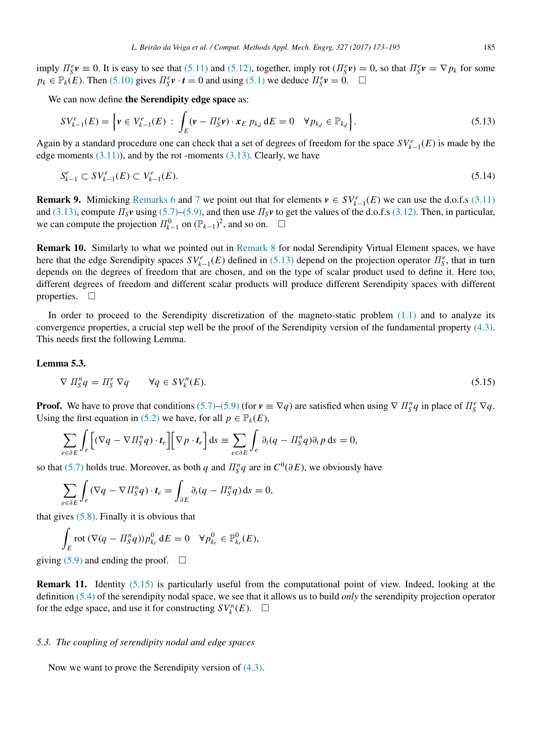imply  $\Pi_S^e v \equiv 0$ . It is easy to see that [\(5.11\)](#page-11-2) and [\(5.12\),](#page-11-3) together, imply rot ( $\Pi_S^e v$ ) = 0, so that  $\Pi_S^e v = \nabla p_k$  for some  $p_k \in \mathbb{P}_k(E)$ . Then [\(5.10\)](#page-11-4) gives  $\Pi_S^e \mathbf{v} \cdot \mathbf{t} = 0$  and using [\(5.1\)](#page-10-1) we deduce  $\Pi_S^e \mathbf{v} = 0$ .  $\Box$ 

We can now define the Serendipity edge space as:

<span id="page-12-0"></span>
$$
SV_{k-1}^{e}(E) = \left\{ v \in V_{k-1}^{e}(E) : \int_{E} (v - \Pi_{S}^{e} v) \cdot x_{E} \, p_{k_{d}} \, dE = 0 \quad \forall p_{k_{d}} \in \mathbb{P}_{k_{d}} \right\}.
$$
 (5.13)

Again by a standard procedure one can check that a set of degrees of freedom for the space  $SV^e_{k-1}(E)$  is made by the edge moments  $(3.11)$ , and by the rot -moments  $(3.13)$ . Clearly, we have

<span id="page-12-2"></span>
$$
S_{k-1}^e \subset SV_{k-1}^e(E) \subset V_{k-1}^e(E). \tag{5.14}
$$

**Remark 9.** Mimicking [Remarks 6](#page-10-3) and [7](#page-11-5) we point out that for elements  $v \in SV_{k-1}^e(E)$  we can use the d.o.f.s [\(3.11\)](#page-5-1) and [\(3.13\),](#page-5-2) compute  $\Pi_S \mathbf{v}$  using [\(5.7\)–](#page-11-0)[\(5.9\),](#page-11-1) and then use  $\Pi_S \mathbf{v}$  to get the values of the d.o.f.s [\(3.12\).](#page-5-3) Then, in particular, we can compute the projection  $\Pi_{k-1}^0$  on  $(\mathbb{P}_{k-1})^2$ , and so on.  $\Box$ 

Remark 10. Similarly to what we pointed out in [Remark 8](#page-11-6) for nodal Serendipity Virtual Element spaces, we have here that the edge Serendipity spaces  $SV^e_{k-1}(E)$  defined in [\(5.13\)](#page-12-0) depend on the projection operator  $\Pi^e_S$ , that in turn depends on the degrees of freedom that are chosen, and on the type of scalar product used to define it. Here too, different degrees of freedom and different scalar products will produce different Serendipity spaces with different properties.  $\square$ 

In order to proceed to the Serendipity discretization of the magneto-static problem  $(1.1)$  and to analyze its convergence properties, a crucial step well be the proof of the Serendipity version of the fundamental property [\(4.3\).](#page-7-1) This needs first the following Lemma.

#### Lemma 5.3.

<span id="page-12-1"></span>
$$
\nabla \Pi_{\mathcal{S}}^n q = \Pi_{\mathcal{S}}^e \nabla q \qquad \forall q \in SV_k^n(E). \tag{5.15}
$$

**Proof.** We have to prove that conditions [\(5.7\)](#page-11-0)[–\(5.9\)](#page-11-1) (for  $v \equiv \nabla q$ ) are satisfied when using  $\nabla \prod_{S}^{n} q$  in place of  $\Pi_{S}^{e} \nabla q$ . Using the first equation in [\(5.2\)](#page-10-0) we have, for all  $p \in \mathbb{P}_k(E)$ ,

$$
\sum_{e \in \partial E} \int_e \left[ (\nabla q - \nabla \Pi_S^n q) \cdot t_e \right] \left[ \nabla p \cdot t_e \right] ds = \sum_{e \in \partial E} \int_e \partial_t (q - \Pi_S^n q) \partial_t p \, ds = 0,
$$

so that [\(5.7\)](#page-11-0) holds true. Moreover, as both *q* and  $\Pi_S^n q$  are in  $C^0(\partial E)$ , we obviously have

$$
\sum_{e \in \partial E} \int_e (\nabla q - \nabla \Pi_S^n q) \cdot t_e = \int_{\partial E} \partial_t (q - \Pi_S^n q) \, ds = 0,
$$

that gives  $(5.8)$ . Finally it is obvious that

$$
\int_E \operatorname{rot} \left( \nabla (q - \varPi_S^n q) \right) p_{k_r}^0 \, \mathrm{d}E = 0 \quad \forall p_{k_r}^0 \in \mathbb{P}_{k_r}^0(E),
$$

giving [\(5.9\)](#page-11-1) and ending the proof.  $\square$ 

Remark 11. Identity [\(5.15\)](#page-12-1) is particularly useful from the computational point of view. Indeed, looking at the definition [\(5.4\)](#page-10-2) of the serendipity nodal space, we see that it allows us to build *only* the serendipity projection operator for the edge space, and use it for constructing  $SV_k^n(E)$ .  $\Box$ 

#### *5.3. The coupling of serendipity nodal and edge spaces*

Now we want to prove the Serendipity version of [\(4.3\).](#page-7-1)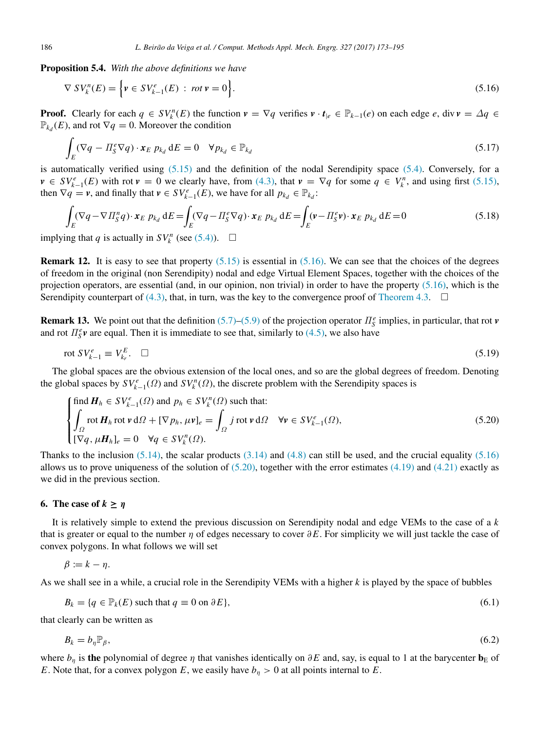Proposition 5.4. *With the above definitions we have*

<span id="page-13-1"></span>
$$
\nabla SV_k^n(E) = \left\{ \mathbf{v} \in SV_{k-1}^e(E) \; : \; rot \, \mathbf{v} = 0 \right\}. \tag{5.16}
$$

**Proof.** Clearly for each  $q \in SV_k^n(E)$  the function  $v = \nabla q$  verifies  $v \cdot t_{|e} \in \mathbb{P}_{k-1}(e)$  on each edge *e*, div  $v = \Delta q \in$  $\mathbb{P}_{k_d}(E)$ , and rot  $\nabla q = 0$ . Moreover the condition

$$
\int_{E} (\nabla q - \Pi_{S}^{e} \nabla q) \cdot \mathbf{x}_{E} \ p_{k_{d}} dE = 0 \quad \forall p_{k_{d}} \in \mathbb{P}_{k_{d}}
$$
\n(5.17)

is automatically verified using [\(5.15\)](#page-12-1) and the definition of the nodal Serendipity space [\(5.4\).](#page-10-2) Conversely, for a  $v \in SV_{k-1}^e(E)$  with rot  $v = 0$  we clearly have, from [\(4.3\),](#page-7-1) that  $v = \nabla q$  for some  $q \in V_k^n$ , and using first [\(5.15\),](#page-12-1) then  $\nabla q = v$ , and finally that  $v \in SV_{k-1}^e(E)$ , we have for all  $p_{k_d} \in \mathbb{P}_{k_d}$ :

$$
\int_{E} (\nabla q - \nabla \Pi_S^n q) \cdot \mathbf{x}_E \ p_{k_d} dE = \int_{E} (\nabla q - \Pi_S^e \nabla q) \cdot \mathbf{x}_E \ p_{k_d} dE = \int_{E} (\mathbf{v} - \Pi_S^e \mathbf{v}) \cdot \mathbf{x}_E \ p_{k_d} dE = 0
$$
\n(5.18)

implying that *q* is actually in  $SV_k^n$  (see [\(5.4\)\)](#page-10-2).  $\Box$ 

**Remark 12.** It is easy to see that property  $(5.15)$  is essential in  $(5.16)$ . We can see that the choices of the degrees of freedom in the original (non Serendipity) nodal and edge Virtual Element Spaces, together with the choices of the projection operators, are essential (and, in our opinion, non trivial) in order to have the property [\(5.16\),](#page-13-1) which is the Serendipity counterpart of  $(4.3)$ , that, in turn, was the key to the convergence proof of [Theorem 4.3.](#page-9-1)  $\Box$ 

**Remark 13.** We point out that the definition [\(5.7\)](#page-11-0)[–\(5.9\)](#page-11-1) of the projection operator  $\Pi_S^e$  implies, in particular, that rot *v* and rot  $\Pi_S^e$ **v** are equal. Then it is immediate to see that, similarly to [\(4.5\),](#page-7-2) we also have

<span id="page-13-4"></span>
$$
\text{rot } SV_{k-1}^e \equiv V_{k_r}^E. \quad \Box \tag{5.19}
$$

The global spaces are the obvious extension of the local ones, and so are the global degrees of freedom. Denoting the global spaces by  $SV^e_{k-1}(\Omega)$  and  $SV^n_k(\Omega)$ , the discrete problem with the Serendipity spaces is

<span id="page-13-2"></span>
$$
\begin{cases}\n\text{find } \mathbf{H}_h \in SV_{k-1}^e(\Omega) \text{ and } p_h \in SV_k^n(\Omega) \text{ such that:} \\
\int_{\Omega} \text{rot } \mathbf{H}_h \text{ rot } \mathbf{v} \, d\Omega + [\nabla p_h, \mu \mathbf{v}]_e = \int_{\Omega} j \text{ rot } \mathbf{v} \, d\Omega \quad \forall \mathbf{v} \in SV_{k-1}^e(\Omega), \\
[\nabla q, \mu \mathbf{H}_h]_e = 0 \quad \forall q \in SV_k^n(\Omega).\n\end{cases}
$$
\n(5.20)

Thanks to the inclusion  $(5.14)$ , the scalar products  $(3.14)$  and  $(4.8)$  can still be used, and the crucial equality  $(5.16)$ allows us to prove uniqueness of the solution of  $(5.20)$ , together with the error estimates  $(4.19)$  and  $(4.21)$  exactly as we did in the previous section.

#### <span id="page-13-0"></span>6. The case of  $k \geq \eta$

It is relatively simple to extend the previous discussion on Serendipity nodal and edge VEMs to the case of a *k* that is greater or equal to the number η of edges necessary to cover ∂*E*. For simplicity we will just tackle the case of convex polygons. In what follows we will set

$$
\beta := k - \eta.
$$

As we shall see in a while, a crucial role in the Serendipity VEMs with a higher *k* is played by the space of bubbles

$$
B_k = \{q \in \mathbb{P}_k(E) \text{ such that } q \equiv 0 \text{ on } \partial E\},\tag{6.1}
$$

that clearly can be written as

<span id="page-13-3"></span>
$$
B_k = b_\eta \mathbb{P}_\beta,\tag{6.2}
$$

where  $b_n$  is the polynomial of degree  $\eta$  that vanishes identically on  $\partial E$  and, say, is equal to 1 at the barycenter  $\mathbf{b}_E$  of *E*. Note that, for a convex polygon *E*, we easily have  $b<sub>η</sub> > 0$  at all points internal to *E*.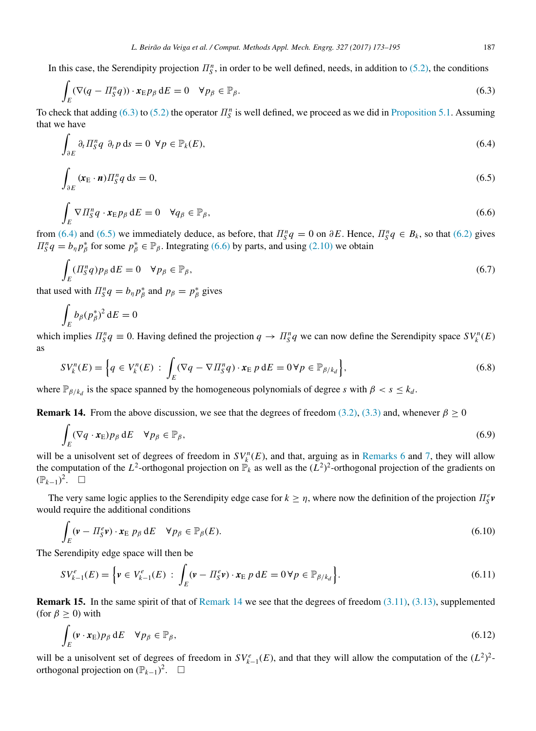In this case, the Serendipity projection  $\Pi_{\mathcal{S}}^n$ , in order to be well defined, needs, in addition to [\(5.2\),](#page-10-0) the conditions

<span id="page-14-0"></span>
$$
\int_{E} (\nabla (q - \Pi_{S}^{n} q)) \cdot \mathbf{x}_{E} p_{\beta} dE = 0 \quad \forall p_{\beta} \in \mathbb{P}_{\beta}.
$$
\n(6.3)

To check that adding [\(6.3\)](#page-14-0) to [\(5.2\)](#page-10-0) the operator  $\Pi_{\mathcal{S}}^n$  is well defined, we proceed as we did in [Proposition 5.1.](#page-10-4) Assuming that we have

<span id="page-14-1"></span>
$$
\int_{\partial E} \partial_t \Pi_S^n q \, \partial_t p \, \mathrm{d}s = 0 \ \forall p \in \mathbb{P}_k(E), \tag{6.4}
$$

<span id="page-14-2"></span>
$$
\int_{\partial E} (\mathbf{x}_{\rm E} \cdot \mathbf{n}) \Pi_{\rm S}^n q \, \mathrm{d}s = 0,\tag{6.5}
$$

<span id="page-14-3"></span>
$$
\int_{E} \nabla \Pi_{S}^{n} q \cdot \mathbf{x}_{E} p_{\beta} dE = 0 \quad \forall q_{\beta} \in \mathbb{P}_{\beta},\tag{6.6}
$$

from [\(6.4\)](#page-14-1) and [\(6.5\)](#page-14-2) we immediately deduce, as before, that  $\Pi_S^n q = 0$  on  $\partial E$ . Hence,  $\Pi_S^n q \in B_k$ , so that [\(6.2\)](#page-13-3) gives  $\Pi_{\mathcal{S}}^n q = b_n p_{\beta}^*$  for some  $p_{\beta}^* \in \mathbb{P}_{\beta}$ . Integrating [\(6.6\)](#page-14-3) by parts, and using [\(2.10\)](#page-3-1) we obtain

$$
\int_{E} (H_S^n q) p_{\beta} dE = 0 \quad \forall p_{\beta} \in \mathbb{P}_{\beta},\tag{6.7}
$$

that used with  $\prod_{S}^{n} q = b_{\eta} p_{\beta}^{*}$  and  $p_{\beta} = p_{\beta}^{*}$  gives

$$
\int_E b_\beta (p_\beta^*)^2 \,\mathrm{d}E = 0
$$

which implies  $\Pi_S^n q \equiv 0$ . Having defined the projection  $q \to \Pi_S^n q$  we can now define the Serendipity space  $SV_k^n(E)$ as

$$
SV_k^n(E) = \left\{ q \in V_k^n(E) : \int_E (\nabla q - \nabla \Pi_S^n q) \cdot \mathbf{x}_E \, p \, dE = 0 \, \forall p \in \mathbb{P}_{\beta/k_d} \right\},\tag{6.8}
$$

where  $\mathbb{P}_{\beta/k_d}$  is the space spanned by the homogeneous polynomials of degree *s* with  $\beta < s \leq k_d$ .

<span id="page-14-4"></span>**Remark 14.** From the above discussion, we see that the degrees of freedom [\(3.2\),](#page-4-1) [\(3.3\)](#page-4-3) and, whenever  $\beta \ge 0$ 

$$
\int_{E} (\nabla q \cdot \mathbf{x}_{E}) p_{\beta} dE \quad \forall p_{\beta} \in \mathbb{P}_{\beta}, \tag{6.9}
$$

will be a unisolvent set of degrees of freedom in  $SV_k^n(E)$ , and that, arguing as in [Remarks 6](#page-10-3) and [7,](#page-11-5) they will allow the computation of the  $L^2$ -orthogonal projection on  $\mathbb{P}_k$  as well as the  $(L^2)^2$ -orthogonal projection of the gradients on  $(\mathbb{P}_{k-1})^2$ . □

The very same logic applies to the Serendipity edge case for  $k \ge \eta$ , where now the definition of the projection  $\Pi_S^e$ would require the additional conditions

<span id="page-14-5"></span>
$$
\int_{E} (\mathbf{v} - \Pi_{\mathcal{S}}^e \mathbf{v}) \cdot \mathbf{x}_E \, p_{\beta} \, dE \quad \forall p_{\beta} \in \mathbb{P}_{\beta}(E). \tag{6.10}
$$

The Serendipity edge space will then be

$$
SV_{k-1}^{e}(E) = \left\{ v \in V_{k-1}^{e}(E) : \int_{E} (v - \Pi_{S}^{e} v) \cdot x_{E} \, p \, dE = 0 \, \forall p \in \mathbb{P}_{\beta/k_{d}} \right\}.
$$
\n(6.11)

**Remark 15.** In the same spirit of that of [Remark 14](#page-14-4) we see that the degrees of freedom  $(3.11)$ ,  $(3.13)$ , supplemented (for  $\beta \geq 0$ ) with

$$
\int_{E} (\mathbf{v} \cdot \mathbf{x}_{E}) p_{\beta} dE \quad \forall p_{\beta} \in \mathbb{P}_{\beta}, \tag{6.12}
$$

will be a unisolvent set of degrees of freedom in  $SV_{k-1}^e(E)$ , and that they will allow the computation of the  $(L^2)^2$ orthogonal projection on  $(\mathbb{P}_{k-1})^2$ . □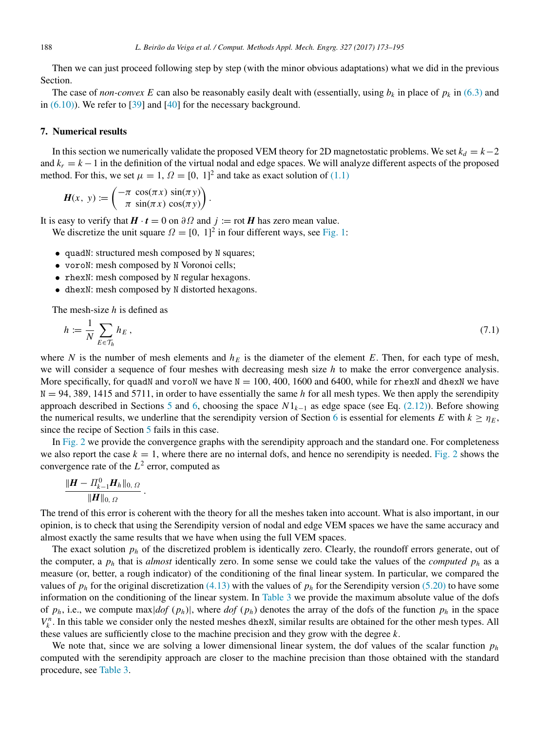Then we can just proceed following step by step (with the minor obvious adaptations) what we did in the previous Section.

The case of *non-convex E* can also be reasonably easily dealt with (essentially, using  $b_k$  in place of  $p_k$  in [\(6.3\)](#page-14-0) and in  $(6.10)$ ). We refer to [\[39\]](#page-21-7) and [\[40\]](#page-21-8) for the necessary background.

# <span id="page-15-0"></span>7. Numerical results

In this section we numerically validate the proposed VEM theory for 2D magnetostatic problems. We set  $k_d = k-2$ and  $k_r = k - 1$  in the definition of the virtual nodal and edge spaces. We will analyze different aspects of the proposed method. For this, we set  $\mu = 1$ ,  $\Omega = [0, 1]^2$  and take as exact solution of  $(1.1)$ 

$$
\boldsymbol{H}(x, y) := \begin{pmatrix} -\pi \cos(\pi x) \sin(\pi y) \\ \pi \sin(\pi x) \cos(\pi y) \end{pmatrix}.
$$

It is easy to verify that  $H \cdot t = 0$  on  $\partial \Omega$  and  $j := \text{rot } H$  has zero mean value.

We discretize the unit square  $\Omega = [0, 1]^2$  in four different ways, see [Fig. 1:](#page-16-0)

- quadN: structured mesh composed by N squares;
- voroN: mesh composed by N Voronoi cells;
- rhexN: mesh composed by N regular hexagons.
- dhexN: mesh composed by N distorted hexagons.

The mesh-size *h* is defined as

$$
h := \frac{1}{N} \sum_{E \in \mathcal{T}_h} h_E , \qquad (7.1)
$$

where *N* is the number of mesh elements and  $h<sub>E</sub>$  is the diameter of the element *E*. Then, for each type of mesh, we will consider a sequence of four meshes with decreasing mesh size *h* to make the error convergence analysis. More specifically, for quadN and voroN we have  $N = 100, 400, 1600$  and 6400, while for rhexN and dhexN we have  $N = 94,389,1415$  and 5711, in order to have essentially the same *h* for all mesh types. We then apply the serendipity approach described in Sections [5](#page-9-0) and [6,](#page-13-0) choosing the space *N*1*k*−<sup>1</sup> as edge space (see Eq. [\(2.12\)\)](#page-3-2). Before showing the numerical results, we underline that the serendipity version of Section [6](#page-13-0) is essential for elements *E* with  $k \ge \eta_E$ , since the recipe of Section [5](#page-9-0) fails in this case.

In [Fig. 2](#page-17-0) we provide the convergence graphs with the serendipity approach and the standard one. For completeness we also report the case  $k = 1$ , where there are no internal dofs, and hence no serendipity is needed. [Fig. 2](#page-17-0) shows the convergence rate of the  $L^2$  error, computed as

$$
\frac{\|\boldsymbol{H} - \boldsymbol{\varPi}_{k-1}^0 \boldsymbol{H}_h\|_{0, \Omega}}{\|\boldsymbol{H}\|_{0, \Omega}}
$$

.

The trend of this error is coherent with the theory for all the meshes taken into account. What is also important, in our opinion, is to check that using the Serendipity version of nodal and edge VEM spaces we have the same accuracy and almost exactly the same results that we have when using the full VEM spaces.

The exact solution  $p_h$  of the discretized problem is identically zero. Clearly, the roundoff errors generate, out of the computer, a  $p_h$  that is *almost* identically zero. In some sense we could take the values of the *computed*  $p_h$  as a measure (or, better, a rough indicator) of the conditioning of the final linear system. In particular, we compared the values of  $p_h$  for the original discretization [\(4.13\)](#page-8-1) with the values of  $p_h$  for the Serendipity version [\(5.20\)](#page-13-2) to have some information on the conditioning of the linear system. In [Table 3](#page-16-1) we provide the maximum absolute value of the dofs of  $p_h$ , i.e., we compute max $|dof (p_h)|$ , where  $dof (p_h)$  denotes the array of the dofs of the function  $p_h$  in the space  $V_k^n$ . In this table we consider only the nested meshes dhexN, similar results are obtained for the other mesh types. All these values are sufficiently close to the machine precision and they grow with the degree *k*.

We note that, since we are solving a lower dimensional linear system, the dof values of the scalar function  $p_h$ computed with the serendipity approach are closer to the machine precision than those obtained with the standard procedure, see [Table 3.](#page-16-1)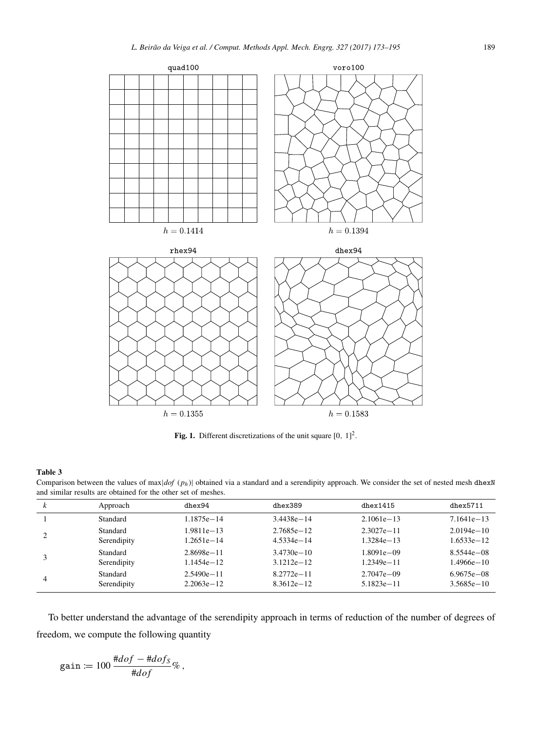<span id="page-16-0"></span>

Fig. 1. Different discretizations of the unit square  $[0, 1]^2$ .

#### <span id="page-16-1"></span>Table 3

Comparison between the values of max $|dof (p_h)|$  obtained via a standard and a serendipity approach. We consider the set of nested mesh dhexN and similar results are obtained for the other set of meshes.

| k | Approach    | dhex94         | dhex389        | dhex1415       | dhex5711       |
|---|-------------|----------------|----------------|----------------|----------------|
|   | Standard    | $1.1875e - 14$ | $3.4438e - 14$ | $2.1061e - 13$ | $7.1641e - 13$ |
|   | Standard    | 1.9811e-13     | $2.7685e - 12$ | $2.3027e - 11$ | $2.0194e - 10$ |
|   | Serendipity | 1.2651e-14     | $4.5334e - 14$ | $1.3284e - 13$ | 1.6533e-12     |
|   | Standard    | $2.8698e - 11$ | $3.4730e - 10$ | 1.8091e-09     | $8.5544e - 08$ |
|   | Serendipity | $1.1454e - 12$ | $3.1212e - 12$ | $1.2349e - 11$ | 1.4966e-10     |
| 4 | Standard    | $2.5490e - 11$ | $8.2772e - 11$ | $2.7047e - 09$ | $6.9675e - 08$ |
|   | Serendipity | $2.2063e - 12$ | $8.3612e - 12$ | $5.1823e - 11$ | $3.5685e - 10$ |

To better understand the advantage of the serendipity approach in terms of reduction of the number of degrees of freedom, we compute the following quantity

$$
\text{gain} \coloneqq 100 \, \frac{\# dof - \# dof_S}{\# dof} \, \% \, ,
$$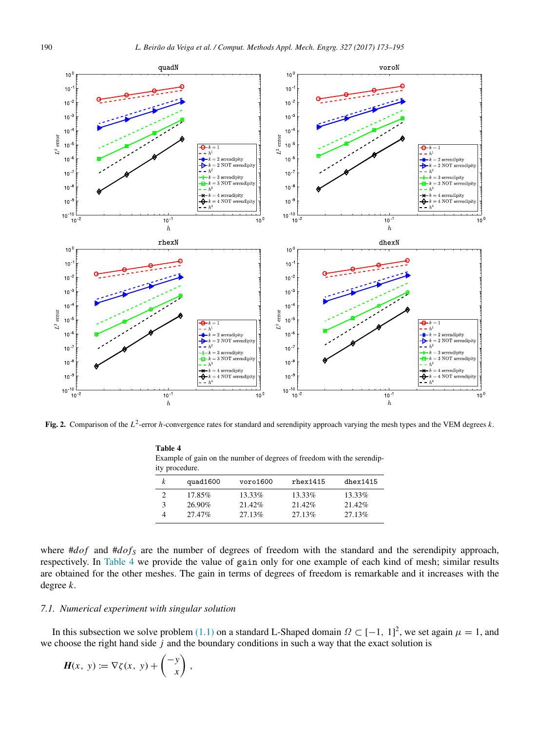<span id="page-17-0"></span>

Fig. 2. Comparison of the L<sup>2</sup>-error *h*-convergence rates for standard and serendipity approach varying the mesh types and the VEM degrees *k*.

|               | $\alpha$ ample of gain on the number of degrees of freedom with the serentify-<br>ty procedure. |          |                |          |
|---------------|-------------------------------------------------------------------------------------------------|----------|----------------|----------|
| k             | quad1600                                                                                        | voro1600 | $r$ hex $1415$ | dhex1415 |
| $\mathcal{D}$ | 17.85%                                                                                          | 13.33%   | 13.33%         | 13.33%   |
| $\mathcal{F}$ | 26.90%                                                                                          | 21.42%   | 21.42%         | 21.42%   |
| 4             | 27.47%                                                                                          | 27.13%   | 27.13%         | 27.13%   |

<span id="page-17-1"></span>Table 4 Example of gain on the number of degrees of freedom with the serendipity procedure.

where  $\# dof$  and  $\# dof$ <sub>S</sub> are the number of degrees of freedom with the standard and the serendipity approach, respectively. In [Table 4](#page-17-1) we provide the value of gain only for one example of each kind of mesh; similar results are obtained for the other meshes. The gain in terms of degrees of freedom is remarkable and it increases with the degree *k*.

#### *7.1. Numerical experiment with singular solution*

In this subsection we solve problem [\(1.1\)](#page-1-0) on a standard L-Shaped domain  $\Omega \subset [-1, 1]^2$ , we set again  $\mu = 1$ , and we choose the right hand side *j* and the boundary conditions in such a way that the exact solution is

$$
H(x, y) := \nabla \zeta(x, y) + \begin{pmatrix} -y \\ x \end{pmatrix},
$$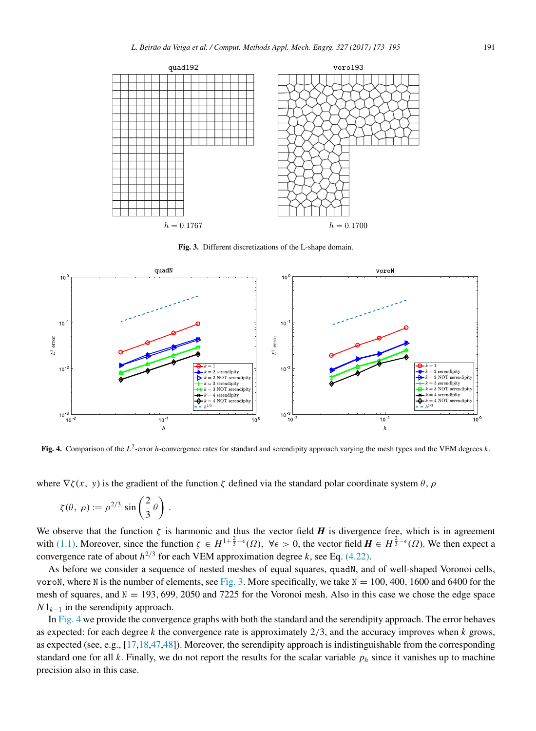<span id="page-18-0"></span>

Fig. 3. Different discretizations of the L-shape domain.

<span id="page-18-1"></span>

Fig. 4. Comparison of the *L* 2 -error *h*-convergence rates for standard and serendipity approach varying the mesh types and the VEM degrees *k*.

where  $\nabla \zeta(x, y)$  is the gradient of the function  $\zeta$  defined via the standard polar coordinate system  $\theta$ ,  $\rho$ 

$$
\zeta(\theta, \, \rho) := \rho^{2/3} \, \sin\left(\frac{2}{3}\,\theta\right) \, .
$$

We observe that the function  $\zeta$  is harmonic and thus the vector field *H* is divergence free, which is in agreement with [\(1.1\).](#page-1-0) Moreover, since the function  $\zeta \in H^{1+\frac{2}{3}-\epsilon}(\Omega)$ ,  $\forall \epsilon > 0$ , the vector field  $H \in H^{\frac{2}{3}-\epsilon}(\Omega)$ . We then expect a convergence rate of about  $h^{2/3}$  for each VEM approximation degree *k*, see Eq. [\(4.22\).](#page-9-4)

As before we consider a sequence of nested meshes of equal squares, quadN, and of well-shaped Voronoi cells, voroN, where N is the number of elements, see [Fig. 3.](#page-18-0) More specifically, we take  $N = 100, 400, 1600$  and 6400 for the mesh of squares, and  $N = 193, 699, 2050$  and 7225 for the Voronoi mesh. Also in this case we chose the edge space  $N1_{k-1}$  in the serendipity approach.

In [Fig. 4](#page-18-1) we provide the convergence graphs with both the standard and the serendipity approach. The error behaves as expected: for each degree *k* the convergence rate is approximately 2/3, and the accuracy improves when *k* grows, as expected (see, e.g., [\[17,](#page-20-11)[18,](#page-20-12)[47](#page-21-15)[,48\]](#page-21-16)). Moreover, the serendipity approach is indistinguishable from the corresponding standard one for all  $k$ . Finally, we do not report the results for the scalar variable  $p_h$  since it vanishes up to machine precision also in this case.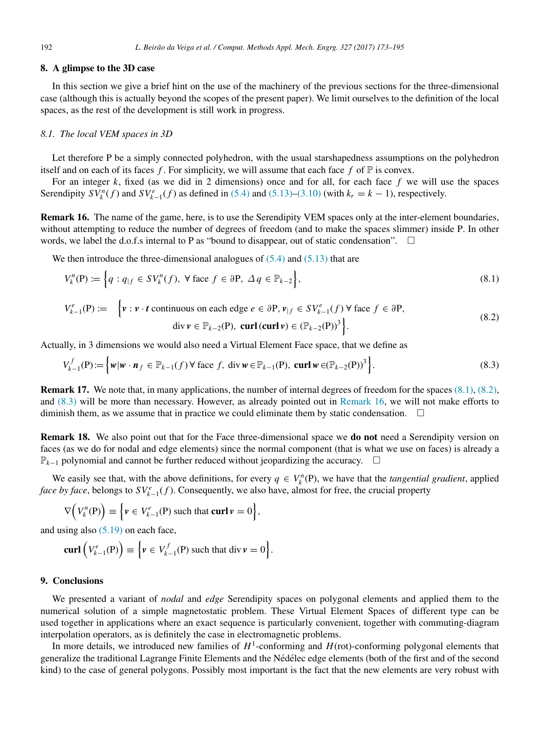# 8. A glimpse to the 3D case

In this section we give a brief hint on the use of the machinery of the previous sections for the three-dimensional case (although this is actually beyond the scopes of the present paper). We limit ourselves to the definition of the local spaces, as the rest of the development is still work in progress.

# *8.1. The local VEM spaces in 3D*

Let therefore P be a simply connected polyhedron, with the usual starshapedness assumptions on the polyhedron itself and on each of its faces  $f$ . For simplicity, we will assume that each face  $f$  of  $\mathbb P$  is convex.

For an integer *k*, fixed (as we did in 2 dimensions) once and for all, for each face *f* we will use the spaces Serendipity  $SV_k^n(f)$  and  $SV_{k-1}^e(f)$  as defined in [\(5.4\)](#page-10-2) and [\(5.13\)](#page-12-0)[–\(3.10\)](#page-5-4) (with  $k_r = k - 1$ ), respectively.

<span id="page-19-4"></span>Remark 16. The name of the game, here, is to use the Serendipity VEM spaces only at the inter-element boundaries, without attempting to reduce the number of degrees of freedom (and to make the spaces slimmer) inside P. In other words, we label the d.o.f.s internal to  $P$  as "bound to disappear, out of static condensation".

We then introduce the three-dimensional analogues of  $(5.4)$  and  $(5.13)$  that are

<span id="page-19-2"></span><span id="page-19-1"></span>
$$
V_k^n(\mathbf{P}) := \left\{ q : q_{|f} \in SV_k^n(f), \ \forall \text{ face } f \in \partial \mathbf{P}, \ \Delta q \in \mathbb{P}_{k-2} \right\},
$$
  
\n
$$
V_{k-1}^e(\mathbf{P}) := \left\{ \mathbf{v} : \mathbf{v} \cdot \mathbf{t} \text{ continuous on each edge } e \in \partial \mathbf{P}, \mathbf{v}_{|f} \in SV_{k-1}^e(f) \ \forall \text{ face } f \in \partial \mathbf{P}, \right\}
$$
\n
$$
(8.1)
$$

$$
\begin{cases} v \cdot v \cdot t \text{ continuous on each edge } e \in \sigma r, \ v_{f} \in V_{k-1}(J) \text{ } v \text{ face } J \in \sigma r, \\ \text{div } v \in \mathbb{P}_{k-2}(\mathbf{P}), \text{ curl } (\text{curl } v) \in (\mathbb{P}_{k-2}(\mathbf{P}))^{3} \end{cases} \tag{8.2}
$$

Actually, in 3 dimensions we would also need a Virtual Element Face space, that we define as

<span id="page-19-3"></span>
$$
V_{k-1}^f(\mathbf{P}) := \left\{ w | w \cdot \mathbf{n}_f \in \mathbb{P}_{k-1}(f) \,\forall \text{ face } f, \text{ div } w \in \mathbb{P}_{k-1}(\mathbf{P}), \text{ curl } w \in (\mathbb{P}_{k-2}(\mathbf{P}))^3 \right\}. \tag{8.3}
$$

Remark 17. We note that, in many applications, the number of internal degrees of freedom for the spaces [\(8.1\),](#page-19-1) [\(8.2\),](#page-19-2) and [\(8.3\)](#page-19-3) will be more than necessary. However, as already pointed out in [Remark 16,](#page-19-4) we will not make efforts to diminish them, as we assume that in practice we could eliminate them by static condensation.  $\Box$ 

Remark 18. We also point out that for the Face three-dimensional space we do not need a Serendipity version on faces (as we do for nodal and edge elements) since the normal component (that is what we use on faces) is already a P<sub>k−1</sub> polynomial and cannot be further reduced without jeopardizing the accuracy. □

We easily see that, with the above definitions, for every  $q \in V_k^n(P)$ , we have that the *tangential gradient*, applied *face by face*, belongs to  $SV^e_{k-1}(f)$ . Consequently, we also have, almost for free, the crucial property

$$
\nabla \Big( V_k^n(\mathbf{P}) \Big) \equiv \Big\{ \mathbf{v} \in V_{k-1}^e(\mathbf{P}) \text{ such that } \operatorname{curl} \mathbf{v} = 0 \Big\},\
$$

and using also  $(5.19)$  on each face,

$$
\mathbf{curl}\left(V_{k-1}^e(\mathbf{P})\right) \equiv \left\{ \mathbf{v} \in V_{k-1}^f(\mathbf{P}) \text{ such that } \mathrm{div}\,\mathbf{v} = 0 \right\}.
$$

## <span id="page-19-0"></span>9. Conclusions

We presented a variant of *nodal* and *edge* Serendipity spaces on polygonal elements and applied them to the numerical solution of a simple magnetostatic problem. These Virtual Element Spaces of different type can be used together in applications where an exact sequence is particularly convenient, together with commuting-diagram interpolation operators, as is definitely the case in electromagnetic problems.

In more details, we introduced new families of  $H^1$ -conforming and  $H$ (rot)-conforming polygonal elements that generalize the traditional Lagrange Finite Elements and the Nédélec edge elements (both of the first and of the second kind) to the case of general polygons. Possibly most important is the fact that the new elements are very robust with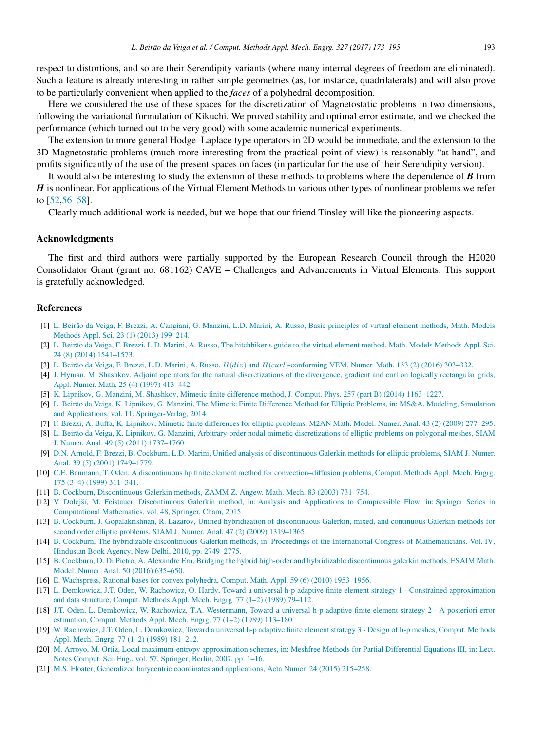respect to distortions, and so are their Serendipity variants (where many internal degrees of freedom are eliminated). Such a feature is already interesting in rather simple geometries (as, for instance, quadrilaterals) and will also prove to be particularly convenient when applied to the *faces* of a polyhedral decomposition.

Here we considered the use of these spaces for the discretization of Magnetostatic problems in two dimensions, following the variational formulation of Kikuchi. We proved stability and optimal error estimate, and we checked the performance (which turned out to be very good) with some academic numerical experiments.

The extension to more general Hodge–Laplace type operators in 2D would be immediate, and the extension to the 3D Magnetostatic problems (much more interesting from the practical point of view) is reasonably "at hand", and profits significantly of the use of the present spaces on faces (in particular for the use of their Serendipity version).

It would also be interesting to study the extension of these methods to problems where the dependence of *B* from *H* is nonlinear. For applications of the Virtual Element Methods to various other types of nonlinear problems we refer to [\[52,](#page-21-20)[56](#page-21-24)[–58\]](#page-22-0).

Clearly much additional work is needed, but we hope that our friend Tinsley will like the pioneering aspects.

# Acknowledgments

The first and third authors were partially supported by the European Research Council through the H2020 Consolidator Grant (grant no. 681162) CAVE – Challenges and Advancements in Virtual Elements. This support is gratefully acknowledged.

# References

- <span id="page-20-0"></span>[1] [L. Beirão da Veiga, F. Brezzi, A. Cangiani, G. Manzini, L.D. Marini, A. Russo, Basic principles of virtual element methods, Math. Models](http://refhub.elsevier.com/S0045-7825(17)30593-5/sb1) [Methods Appl. Sci. 23 \(1\) \(2013\) 199–214.](http://refhub.elsevier.com/S0045-7825(17)30593-5/sb1)
- [2] [L. Beirão da Veiga, F. Brezzi, L.D. Marini, A. Russo, The hitchhiker's guide to the virtual element method, Math. Models Methods Appl. Sci.](http://refhub.elsevier.com/S0045-7825(17)30593-5/sb2) [24 \(8\) \(2014\) 1541–1573.](http://refhub.elsevier.com/S0045-7825(17)30593-5/sb2)
- <span id="page-20-1"></span>[3] L. Beirão da Veiga, F. Brezzi, L.D. Marini, A. Russo, *H*(*di*v) and *H*(*curl*[\)-conforming VEM, Numer. Math. 133 \(2\) \(2016\) 303–332.](http://refhub.elsevier.com/S0045-7825(17)30593-5/sb3)
- <span id="page-20-2"></span>[4] [J. Hyman, M. Shashkov, Adjoint operators for the natural discretizations of the divergence, gradient and curl on logically rectangular grids,](http://refhub.elsevier.com/S0045-7825(17)30593-5/sb4) [Appl. Numer. Math. 25 \(4\) \(1997\) 413–442.](http://refhub.elsevier.com/S0045-7825(17)30593-5/sb4)
- [5] [K. Lipnikov, G. Manzini, M. Shashkov, Mimetic finite difference method, J. Comput. Phys. 257 \(part B\) \(2014\) 1163–1227.](http://refhub.elsevier.com/S0045-7825(17)30593-5/sb5)
- [6] [L. Beirão da Veiga, K. Lipnikov, G. Manzini, The Mimetic Finite Difference Method for Elliptic Problems, in: MS&A. Modeling, Simulation](http://refhub.elsevier.com/S0045-7825(17)30593-5/sb6) [and Applications, vol. 11, Springer-Verlag, 2014.](http://refhub.elsevier.com/S0045-7825(17)30593-5/sb6)
- [7] [F. Brezzi, A. Buffa, K. Lipnikov, Mimetic finite differences for elliptic problems, M2AN Math. Model. Numer. Anal. 43 \(2\) \(2009\) 277–295.](http://refhub.elsevier.com/S0045-7825(17)30593-5/sb7)
- <span id="page-20-3"></span>[8] [L. Beirão da Veiga, K. Lipnikov, G. Manzini, Arbitrary-order nodal mimetic discretizations of elliptic problems on polygonal meshes, SIAM](http://refhub.elsevier.com/S0045-7825(17)30593-5/sb8) [J. Numer. Anal. 49 \(5\) \(2011\) 1737–1760.](http://refhub.elsevier.com/S0045-7825(17)30593-5/sb8)
- <span id="page-20-4"></span>[9] [D.N. Arnold, F. Brezzi, B. Cockburn, L.D. Marini, Unified analysis of discontinuous Galerkin methods for elliptic problems, SIAM J. Numer.](http://refhub.elsevier.com/S0045-7825(17)30593-5/sb9) [Anal. 39 \(5\) \(2001\) 1749–1779.](http://refhub.elsevier.com/S0045-7825(17)30593-5/sb9)
- [\[](http://refhub.elsevier.com/S0045-7825(17)30593-5/sb10)10] [C.E. Baumann, T. Oden, A discontinuous hp finite element method for convection–diffusion problems, Comput. Methods Appl. Mech. Engrg.](http://refhub.elsevier.com/S0045-7825(17)30593-5/sb10) [175 \(3–4\) \(1999\) 311–341.](http://refhub.elsevier.com/S0045-7825(17)30593-5/sb10)
- <span id="page-20-5"></span>[11] [B. Cockburn, Discontinuous Galerkin methods, ZAMM Z. Angew. Math. Mech. 83 \(2003\) 731–754.](http://refhub.elsevier.com/S0045-7825(17)30593-5/sb11)
- <span id="page-20-6"></span>[\[](http://refhub.elsevier.com/S0045-7825(17)30593-5/sb12)12] [V. Dolejší, M. Feistauer, Discontinuous Galerkin method, in: Analysis and Applications to Compressible Flow, in: Springer Series in](http://refhub.elsevier.com/S0045-7825(17)30593-5/sb12) [Computational Mathematics, vol. 48, Springer, Cham, 2015.](http://refhub.elsevier.com/S0045-7825(17)30593-5/sb12)
- <span id="page-20-7"></span>[\[](http://refhub.elsevier.com/S0045-7825(17)30593-5/sb13)13] [B. Cockburn, J. Gopalakrishnan, R. Lazarov, Unified hybridization of discontinuous Galerkin, mixed, and continuous Galerkin methods for](http://refhub.elsevier.com/S0045-7825(17)30593-5/sb13) [second order elliptic problems, SIAM J. Numer. Anal. 47 \(2\) \(2009\) 1319–1365.](http://refhub.elsevier.com/S0045-7825(17)30593-5/sb13)
- <span id="page-20-8"></span>[\[](http://refhub.elsevier.com/S0045-7825(17)30593-5/sb14)14] [B. Cockburn, The hybridizable discontinuous Galerkin methods, in: Proceedings of the International Congress of Mathematicians. Vol. IV,](http://refhub.elsevier.com/S0045-7825(17)30593-5/sb14) [Hindustan Book Agency, New Delhi, 2010, pp. 2749–2775.](http://refhub.elsevier.com/S0045-7825(17)30593-5/sb14)
- <span id="page-20-9"></span>[\[](http://refhub.elsevier.com/S0045-7825(17)30593-5/sb15)15] [B. Cockburn, D. Di Pietro, A. Alexandre Ern, Bridging the hybrid high-order and hybridizable discontinuous galerkin methods, ESAIM Math.](http://refhub.elsevier.com/S0045-7825(17)30593-5/sb15) [Model. Numer. Anal. 50 \(2016\) 635–650.](http://refhub.elsevier.com/S0045-7825(17)30593-5/sb15)
- <span id="page-20-10"></span>[16] [E. Wachspress, Rational bases for convex polyhedra, Comput. Math. Appl. 59 \(6\) \(2010\) 1953–1956.](http://refhub.elsevier.com/S0045-7825(17)30593-5/sb16)
- <span id="page-20-11"></span>[\[](http://refhub.elsevier.com/S0045-7825(17)30593-5/sb17)17] [L. Demkowicz, J.T. Oden, W. Rachowicz, O. Hardy, Toward a universal h-p adaptive finite element strategy 1 - Constrained approximation](http://refhub.elsevier.com/S0045-7825(17)30593-5/sb17) [and data structure, Comput. Methods Appl. Mech. Engrg. 77 \(1–2\) \(1989\) 79–112.](http://refhub.elsevier.com/S0045-7825(17)30593-5/sb17)
- <span id="page-20-12"></span>[\[](http://refhub.elsevier.com/S0045-7825(17)30593-5/sb18)18] [J.T. Oden, L. Demkowicz, W. Rachowicz, T.A. Westermann, Toward a universal h-p adaptive finite element strategy 2 - A posteriori error](http://refhub.elsevier.com/S0045-7825(17)30593-5/sb18) [estimation, Comput. Methods Appl. Mech. Engrg. 77 \(1–2\) \(1989\) 113–180.](http://refhub.elsevier.com/S0045-7825(17)30593-5/sb18)
- [\[](http://refhub.elsevier.com/S0045-7825(17)30593-5/sb19)19] [W. Rachowicz, J.T. Oden, L. Demkowicz, Toward a universal h-p adaptive finite element strategy 3 Design of h-p meshes, Comput. Methods](http://refhub.elsevier.com/S0045-7825(17)30593-5/sb19) [Appl. Mech. Engrg. 77 \(1–2\) \(1989\) 181–212.](http://refhub.elsevier.com/S0045-7825(17)30593-5/sb19)
- [\[](http://refhub.elsevier.com/S0045-7825(17)30593-5/sb20)20] [M. Arroyo, M. Ortiz, Local maximum-entropy approximation schemes, in: Meshfree Methods for Partial Differential Equations III, in: Lect.](http://refhub.elsevier.com/S0045-7825(17)30593-5/sb20) [Notes Comput. Sci. Eng., vol. 57, Springer, Berlin, 2007, pp. 1–16.](http://refhub.elsevier.com/S0045-7825(17)30593-5/sb20)
- [21] [M.S. Floater, Generalized barycentric coordinates and applications, Acta Numer. 24 \(2015\) 215–258.](http://refhub.elsevier.com/S0045-7825(17)30593-5/sb21)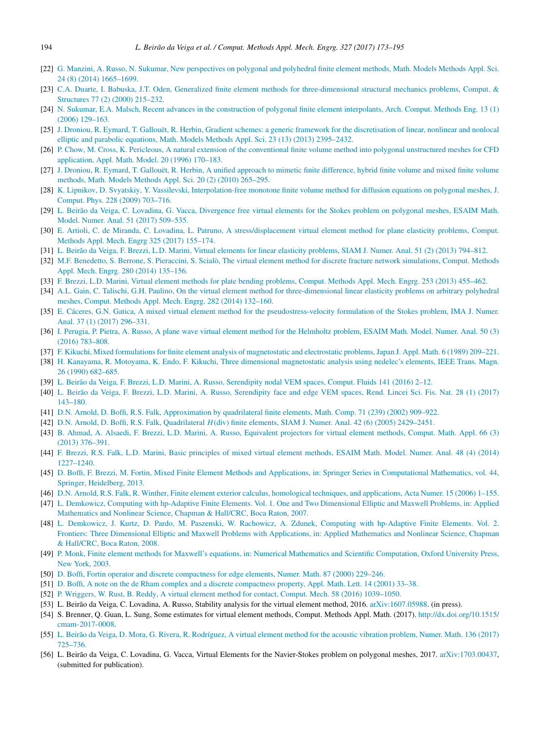- [\[](http://refhub.elsevier.com/S0045-7825(17)30593-5/sb22)22] [G. Manzini, A. Russo, N. Sukumar, New perspectives on polygonal and polyhedral finite element methods, Math. Models Methods Appl. Sci.](http://refhub.elsevier.com/S0045-7825(17)30593-5/sb22) [24 \(8\) \(2014\) 1665–1699.](http://refhub.elsevier.com/S0045-7825(17)30593-5/sb22)
- [\[](http://refhub.elsevier.com/S0045-7825(17)30593-5/sb23)23] [C.A. Duarte, I. Babuska, J.T. Oden, Generalized finite element methods for three-dimensional structural mechanics problems, Comput. &](http://refhub.elsevier.com/S0045-7825(17)30593-5/sb23) [Structures 77 \(2\) \(2000\) 215–232.](http://refhub.elsevier.com/S0045-7825(17)30593-5/sb23)
- <span id="page-21-0"></span>[\[](http://refhub.elsevier.com/S0045-7825(17)30593-5/sb24)24] [N. Sukumar, E.A. Malsch, Recent advances in the construction of polygonal finite element interpolants, Arch. Comput. Methods Eng. 13 \(1\)](http://refhub.elsevier.com/S0045-7825(17)30593-5/sb24) [\(2006\) 129–163.](http://refhub.elsevier.com/S0045-7825(17)30593-5/sb24)
- <span id="page-21-1"></span>[\[](http://refhub.elsevier.com/S0045-7825(17)30593-5/sb25)25] [J. Droniou, R. Eymard, T. Gallouët, R. Herbin, Gradient schemes: a generic framework for the discretisation of linear, nonlinear and nonlocal](http://refhub.elsevier.com/S0045-7825(17)30593-5/sb25) [elliptic and parabolic equations, Math. Models Methods Appl. Sci. 23 \(13\) \(2013\) 2395–2432.](http://refhub.elsevier.com/S0045-7825(17)30593-5/sb25)
- [\[](http://refhub.elsevier.com/S0045-7825(17)30593-5/sb26)26] [P. Chow, M. Cross, K. Pericleous, A natural extension of the conventional finite volume method into polygonal unstructured meshes for CFD](http://refhub.elsevier.com/S0045-7825(17)30593-5/sb26) [application, Appl. Math. Model. 20 \(1996\) 170–183.](http://refhub.elsevier.com/S0045-7825(17)30593-5/sb26)
- [\[](http://refhub.elsevier.com/S0045-7825(17)30593-5/sb27)27] [J. Droniou, R. Eymard, T. Gallouët, R. Herbin, A unified approach to mimetic finite difference, hybrid finite volume and mixed finite volume](http://refhub.elsevier.com/S0045-7825(17)30593-5/sb27) [methods, Math. Models Methods Appl. Sci. 20 \(2\) \(2010\) 265–295.](http://refhub.elsevier.com/S0045-7825(17)30593-5/sb27)
- <span id="page-21-2"></span>[\[](http://refhub.elsevier.com/S0045-7825(17)30593-5/sb28)28] [K. Lipnikov, D. Svyatskiy, Y. Vassilevski, Interpolation-free monotone finite volume method for diffusion equations on polygonal meshes, J.](http://refhub.elsevier.com/S0045-7825(17)30593-5/sb28) [Comput. Phys. 228 \(2009\) 703–716.](http://refhub.elsevier.com/S0045-7825(17)30593-5/sb28)
- <span id="page-21-3"></span>[\[](http://refhub.elsevier.com/S0045-7825(17)30593-5/sb29)29] [L. Beirão da Veiga, C. Lovadina, G. Vacca, Divergence free virtual elements for the Stokes problem on polygonal meshes, ESAIM Math.](http://refhub.elsevier.com/S0045-7825(17)30593-5/sb29) [Model. Numer. Anal. 51 \(2017\) 509–535.](http://refhub.elsevier.com/S0045-7825(17)30593-5/sb29)
- [\[](http://refhub.elsevier.com/S0045-7825(17)30593-5/sb30)30] [E. Artioli, C. de Miranda, C. Lovadina, L. Patruno, A stress/displacement virtual element method for plane elasticity problems, Comput.](http://refhub.elsevier.com/S0045-7825(17)30593-5/sb30) [Methods Appl. Mech. Engrg 325 \(2017\) 155–174.](http://refhub.elsevier.com/S0045-7825(17)30593-5/sb30)
- [31] [L. Beirão da Veiga, F. Brezzi, L.D. Marini, Virtual elements for linear elasticity problems, SIAM J. Numer. Anal. 51 \(2\) \(2013\) 794–812.](http://refhub.elsevier.com/S0045-7825(17)30593-5/sb31)
- [\[](http://refhub.elsevier.com/S0045-7825(17)30593-5/sb32)32] [M.F. Benedetto, S. Berrone, S. Pieraccini, S. Scialò, The virtual element method for discrete fracture network simulations, Comput. Methods](http://refhub.elsevier.com/S0045-7825(17)30593-5/sb32) [Appl. Mech. Engrg. 280 \(2014\) 135–156.](http://refhub.elsevier.com/S0045-7825(17)30593-5/sb32)
- [33] [F. Brezzi, L.D. Marini, Virtual element methods for plate bending problems, Comput. Methods Appl. Mech. Engrg. 253 \(2013\) 455–462.](http://refhub.elsevier.com/S0045-7825(17)30593-5/sb33)
- [\[](http://refhub.elsevier.com/S0045-7825(17)30593-5/sb34)34] [A.L. Gain, C. Talischi, G.H. Paulino, On the virtual element method for three-dimensional linear elasticity problems on arbitrary polyhedral](http://refhub.elsevier.com/S0045-7825(17)30593-5/sb34) [meshes, Comput. Methods Appl. Mech. Engrg. 282 \(2014\) 132–160.](http://refhub.elsevier.com/S0045-7825(17)30593-5/sb34)
- [\[](http://refhub.elsevier.com/S0045-7825(17)30593-5/sb35)35] [E. Cáceres, G.N. Gatica, A mixed virtual element method for the pseudostress-velocity formulation of the Stokes problem, IMA J. Numer.](http://refhub.elsevier.com/S0045-7825(17)30593-5/sb35) [Anal. 37 \(1\) \(2017\) 296–331.](http://refhub.elsevier.com/S0045-7825(17)30593-5/sb35)
- <span id="page-21-4"></span>[\[](http://refhub.elsevier.com/S0045-7825(17)30593-5/sb36)36] [I. Perugia, P. Pietra, A. Russo, A plane wave virtual element method for the Helmholtz problem, ESAIM Math. Model. Numer. Anal. 50 \(3\)](http://refhub.elsevier.com/S0045-7825(17)30593-5/sb36) [\(2016\) 783–808.](http://refhub.elsevier.com/S0045-7825(17)30593-5/sb36)
- <span id="page-21-5"></span>[37] [F. Kikuchi, Mixed formulations for finite element analysis of magnetostatic and electrostatic problems, Japan J. Appl. Math. 6 \(1989\) 209–221.](http://refhub.elsevier.com/S0045-7825(17)30593-5/sb37)
- <span id="page-21-6"></span>[\[](http://refhub.elsevier.com/S0045-7825(17)30593-5/sb38)38] [H. Kanayama, R. Motoyama, K. Endo, F. Kikuchi, Three dimensional magnetostatic analysis using nedelec's elements, IEEE Trans. Magn.](http://refhub.elsevier.com/S0045-7825(17)30593-5/sb38) [26 \(1990\) 682–685.](http://refhub.elsevier.com/S0045-7825(17)30593-5/sb38)
- <span id="page-21-7"></span>[39] [L. Beirão da Veiga, F. Brezzi, L.D. Marini, A. Russo, Serendipity nodal VEM spaces, Comput. Fluids 141 \(2016\) 2–12.](http://refhub.elsevier.com/S0045-7825(17)30593-5/sb39)
- <span id="page-21-8"></span>[\[](http://refhub.elsevier.com/S0045-7825(17)30593-5/sb40)40] [L. Beirão da Veiga, F. Brezzi, L.D. Marini, A. Russo, Serendipity face and edge VEM spaces, Rend. Lincei Sci. Fis. Nat. 28 \(1\) \(2017\)](http://refhub.elsevier.com/S0045-7825(17)30593-5/sb40) [143–180.](http://refhub.elsevier.com/S0045-7825(17)30593-5/sb40)
- <span id="page-21-9"></span>[41] [D.N. Arnold, D. Boffi, R.S. Falk, Approximation by quadrilateral finite elements, Math. Comp. 71 \(239\) \(2002\) 909–922.](http://refhub.elsevier.com/S0045-7825(17)30593-5/sb41)
- <span id="page-21-10"></span>[42] D.N. Arnold, D. Boffi, R.S. Falk, Quadrilateral *H*[\(div\) finite elements, SIAM J. Numer. Anal. 42 \(6\) \(2005\) 2429–2451.](http://refhub.elsevier.com/S0045-7825(17)30593-5/sb42)
- <span id="page-21-11"></span>[\[](http://refhub.elsevier.com/S0045-7825(17)30593-5/sb43)43] [B. Ahmad, A. Alsaedi, F. Brezzi, L.D. Marini, A. Russo, Equivalent projectors for virtual element methods, Comput. Math. Appl. 66 \(3\)](http://refhub.elsevier.com/S0045-7825(17)30593-5/sb43) [\(2013\) 376–391.](http://refhub.elsevier.com/S0045-7825(17)30593-5/sb43)
- <span id="page-21-12"></span>[\[](http://refhub.elsevier.com/S0045-7825(17)30593-5/sb44)44] [F. Brezzi, R.S. Falk, L.D. Marini, Basic principles of mixed virtual element methods, ESAIM Math. Model. Numer. Anal. 48 \(4\) \(2014\)](http://refhub.elsevier.com/S0045-7825(17)30593-5/sb44) [1227–1240.](http://refhub.elsevier.com/S0045-7825(17)30593-5/sb44)
- <span id="page-21-13"></span>[\[](http://refhub.elsevier.com/S0045-7825(17)30593-5/sb45)45] [D. Boffi, F. Brezzi, M. Fortin, Mixed Finite Element Methods and Applications, in: Springer Series in Computational Mathematics, vol. 44,](http://refhub.elsevier.com/S0045-7825(17)30593-5/sb45) [Springer, Heidelberg, 2013.](http://refhub.elsevier.com/S0045-7825(17)30593-5/sb45)
- <span id="page-21-14"></span>[46] [D.N. Arnold, R.S. Falk, R. Winther, Finite element exterior calculus, homological techniques, and applications, Acta Numer. 15 \(2006\) 1–155.](http://refhub.elsevier.com/S0045-7825(17)30593-5/sb46)
- <span id="page-21-15"></span>[\[](http://refhub.elsevier.com/S0045-7825(17)30593-5/sb47)47] [L. Demkowicz, Computing with hp-Adaptive Finite Elements. Vol. 1. One and Two Dimensional Elliptic and Maxwell Problems, in: Applied](http://refhub.elsevier.com/S0045-7825(17)30593-5/sb47) [Mathematics and Nonlinear Science, Chapman & Hall/CRC, Boca Raton, 2007.](http://refhub.elsevier.com/S0045-7825(17)30593-5/sb47)
- <span id="page-21-16"></span>[\[](http://refhub.elsevier.com/S0045-7825(17)30593-5/sb48)48] [L. Demkowicz, J. Kurtz, D. Pardo, M. Paszenski, W. Rachowicz, A. Zdunek, Computing with hp-Adaptive Finite Elements. Vol. 2.](http://refhub.elsevier.com/S0045-7825(17)30593-5/sb48) [Frontiers: Three Dimensional Elliptic and Maxwell Problems with Applications, in: Applied Mathematics and Nonlinear Science, Chapman](http://refhub.elsevier.com/S0045-7825(17)30593-5/sb48) [& Hall/CRC, Boca Raton, 2008.](http://refhub.elsevier.com/S0045-7825(17)30593-5/sb48)
- <span id="page-21-17"></span>[\[](http://refhub.elsevier.com/S0045-7825(17)30593-5/sb49)49] [P. Monk, Finite element methods for Maxwell's equations, in: Numerical Mathematics and Scientific Computation, Oxford University Press,](http://refhub.elsevier.com/S0045-7825(17)30593-5/sb49) [New York, 2003.](http://refhub.elsevier.com/S0045-7825(17)30593-5/sb49)
- <span id="page-21-18"></span>[50] [D. Boffi, Fortin operator and discrete compactness for edge elements, Numer. Math. 87 \(2000\) 229–246.](http://refhub.elsevier.com/S0045-7825(17)30593-5/sb50)
- <span id="page-21-19"></span>[51] [D. Boffi, A note on the de Rham complex and a discrete compactness property, Appl. Math. Lett. 14 \(2001\) 33–38.](http://refhub.elsevier.com/S0045-7825(17)30593-5/sb51)
- <span id="page-21-20"></span>[52] [P. Wriggers, W. Rust, B. Reddy, A virtual element method for contact, Comput. Mech. 58 \(2016\) 1039–1050.](http://refhub.elsevier.com/S0045-7825(17)30593-5/sb52)
- <span id="page-21-21"></span>[53] L. Beirão da Veiga, C. Lovadina, A. Russo, Stability analysis for the virtual element method, 2016. [arXiv:1607.05988.](http://arxiv.org/1607.05988) (in press).
- <span id="page-21-22"></span>[\[](http://dx.doi.org/10.1515/cmam-2017-0008)54] S. Brenner, Q. Guan, L. Sung, Some estimates for virtual element methods, Comput. Methods Appl. Math. (2017). [http://dx.doi.org/10.1515/](http://dx.doi.org/10.1515/cmam-2017-0008) [cmam-2017-0008.](http://dx.doi.org/10.1515/cmam-2017-0008)
- <span id="page-21-23"></span>[\[](http://refhub.elsevier.com/S0045-7825(17)30593-5/sb55)55] [L. Beirão da Veiga, D. Mora, G. Rivera, R. Rodríguez, A virtual element method for the acoustic vibration problem, Numer. Math. 136 \(2017\)](http://refhub.elsevier.com/S0045-7825(17)30593-5/sb55) [725–736.](http://refhub.elsevier.com/S0045-7825(17)30593-5/sb55)
- <span id="page-21-24"></span>[56] L. Beirão da Veiga, C. Lovadina, G. Vacca, Virtual Elements for the Navier-Stokes problem on polygonal meshes, 2017. [arXiv:1703.00437,](http://arxiv.org/1703.00437) (submitted for publication).